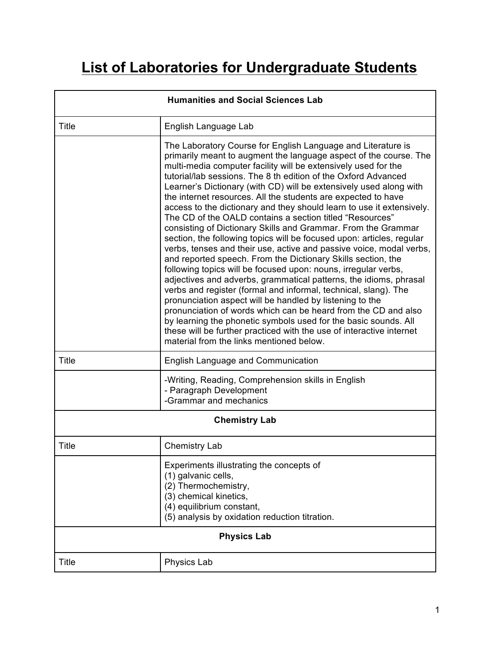## **List of Laboratories for Undergraduate Students**

| <b>Humanities and Social Sciences Lab</b> |                                                                                                                                                                                                                                                                                                                                                                                                                                                                                                                                                                                                                                                                                                                                                                                                                                                                                                                                                                                                                                                                                                                                                                                                                                                                                                                                                                   |  |
|-------------------------------------------|-------------------------------------------------------------------------------------------------------------------------------------------------------------------------------------------------------------------------------------------------------------------------------------------------------------------------------------------------------------------------------------------------------------------------------------------------------------------------------------------------------------------------------------------------------------------------------------------------------------------------------------------------------------------------------------------------------------------------------------------------------------------------------------------------------------------------------------------------------------------------------------------------------------------------------------------------------------------------------------------------------------------------------------------------------------------------------------------------------------------------------------------------------------------------------------------------------------------------------------------------------------------------------------------------------------------------------------------------------------------|--|
| <b>Title</b>                              | English Language Lab                                                                                                                                                                                                                                                                                                                                                                                                                                                                                                                                                                                                                                                                                                                                                                                                                                                                                                                                                                                                                                                                                                                                                                                                                                                                                                                                              |  |
|                                           | The Laboratory Course for English Language and Literature is<br>primarily meant to augment the language aspect of the course. The<br>multi-media computer facility will be extensively used for the<br>tutorial/lab sessions. The 8 th edition of the Oxford Advanced<br>Learner's Dictionary (with CD) will be extensively used along with<br>the internet resources. All the students are expected to have<br>access to the dictionary and they should learn to use it extensively.<br>The CD of the OALD contains a section titled "Resources"<br>consisting of Dictionary Skills and Grammar. From the Grammar<br>section, the following topics will be focused upon: articles, regular<br>verbs, tenses and their use, active and passive voice, modal verbs,<br>and reported speech. From the Dictionary Skills section, the<br>following topics will be focused upon: nouns, irregular verbs,<br>adjectives and adverbs, grammatical patterns, the idioms, phrasal<br>verbs and register (formal and informal, technical, slang). The<br>pronunciation aspect will be handled by listening to the<br>pronunciation of words which can be heard from the CD and also<br>by learning the phonetic symbols used for the basic sounds. All<br>these will be further practiced with the use of interactive internet<br>material from the links mentioned below. |  |
| <b>Title</b>                              | <b>English Language and Communication</b>                                                                                                                                                                                                                                                                                                                                                                                                                                                                                                                                                                                                                                                                                                                                                                                                                                                                                                                                                                                                                                                                                                                                                                                                                                                                                                                         |  |
|                                           | -Writing, Reading, Comprehension skills in English<br>- Paragraph Development<br>-Grammar and mechanics                                                                                                                                                                                                                                                                                                                                                                                                                                                                                                                                                                                                                                                                                                                                                                                                                                                                                                                                                                                                                                                                                                                                                                                                                                                           |  |
| <b>Chemistry Lab</b>                      |                                                                                                                                                                                                                                                                                                                                                                                                                                                                                                                                                                                                                                                                                                                                                                                                                                                                                                                                                                                                                                                                                                                                                                                                                                                                                                                                                                   |  |
| <b>Title</b>                              | <b>Chemistry Lab</b>                                                                                                                                                                                                                                                                                                                                                                                                                                                                                                                                                                                                                                                                                                                                                                                                                                                                                                                                                                                                                                                                                                                                                                                                                                                                                                                                              |  |
|                                           | Experiments illustrating the concepts of<br>(1) galvanic cells,<br>(2) Thermochemistry,<br>(3) chemical kinetics,<br>(4) equilibrium constant,<br>(5) analysis by oxidation reduction titration.                                                                                                                                                                                                                                                                                                                                                                                                                                                                                                                                                                                                                                                                                                                                                                                                                                                                                                                                                                                                                                                                                                                                                                  |  |
| <b>Physics Lab</b>                        |                                                                                                                                                                                                                                                                                                                                                                                                                                                                                                                                                                                                                                                                                                                                                                                                                                                                                                                                                                                                                                                                                                                                                                                                                                                                                                                                                                   |  |
| Title                                     | <b>Physics Lab</b>                                                                                                                                                                                                                                                                                                                                                                                                                                                                                                                                                                                                                                                                                                                                                                                                                                                                                                                                                                                                                                                                                                                                                                                                                                                                                                                                                |  |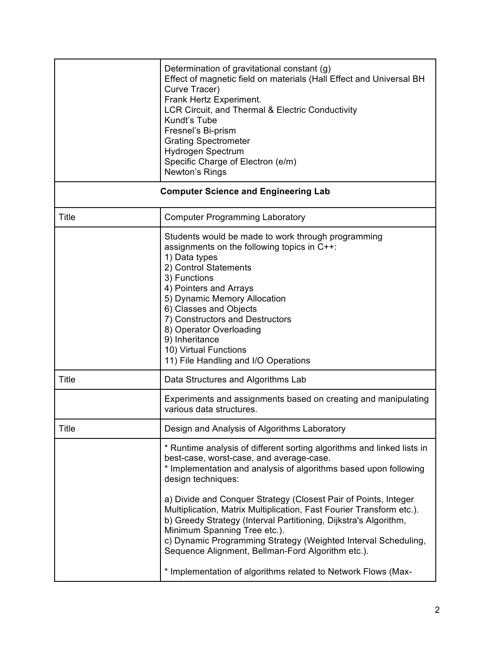|              | Determination of gravitational constant (g)<br>Effect of magnetic field on materials (Hall Effect and Universal BH<br>Curve Tracer)<br>Frank Hertz Experiment.<br>LCR Circuit, and Thermal & Electric Conductivity<br>Kundt's Tube<br>Fresnel's Bi-prism<br><b>Grating Spectrometer</b><br>Hydrogen Spectrum<br>Specific Charge of Electron (e/m)<br>Newton's Rings                                                                                                                                                                                                                                                                                 |
|--------------|-----------------------------------------------------------------------------------------------------------------------------------------------------------------------------------------------------------------------------------------------------------------------------------------------------------------------------------------------------------------------------------------------------------------------------------------------------------------------------------------------------------------------------------------------------------------------------------------------------------------------------------------------------|
|              | <b>Computer Science and Engineering Lab</b>                                                                                                                                                                                                                                                                                                                                                                                                                                                                                                                                                                                                         |
| <b>Title</b> | <b>Computer Programming Laboratory</b>                                                                                                                                                                                                                                                                                                                                                                                                                                                                                                                                                                                                              |
|              | Students would be made to work through programming<br>assignments on the following topics in C++:<br>1) Data types<br>2) Control Statements<br>3) Functions<br>4) Pointers and Arrays<br>5) Dynamic Memory Allocation<br>6) Classes and Objects<br>7) Constructors and Destructors<br>8) Operator Overloading<br>9) Inheritance<br>10) Virtual Functions<br>11) File Handling and I/O Operations                                                                                                                                                                                                                                                    |
| <b>Title</b> | Data Structures and Algorithms Lab                                                                                                                                                                                                                                                                                                                                                                                                                                                                                                                                                                                                                  |
|              | Experiments and assignments based on creating and manipulating<br>various data structures.                                                                                                                                                                                                                                                                                                                                                                                                                                                                                                                                                          |
| Title        | Design and Analysis of Algorithms Laboratory                                                                                                                                                                                                                                                                                                                                                                                                                                                                                                                                                                                                        |
|              | * Runtime analysis of different sorting algorithms and linked lists in<br>best-case, worst-case, and average-case.<br>* Implementation and analysis of algorithms based upon following<br>design techniques:<br>a) Divide and Conquer Strategy (Closest Pair of Points, Integer<br>Multiplication, Matrix Multiplication, Fast Fourier Transform etc.).<br>b) Greedy Strategy (Interval Partitioning, Dijkstra's Algorithm,<br>Minimum Spanning Tree etc.).<br>c) Dynamic Programming Strategy (Weighted Interval Scheduling,<br>Sequence Alignment, Bellman-Ford Algorithm etc.).<br>* Implementation of algorithms related to Network Flows (Max- |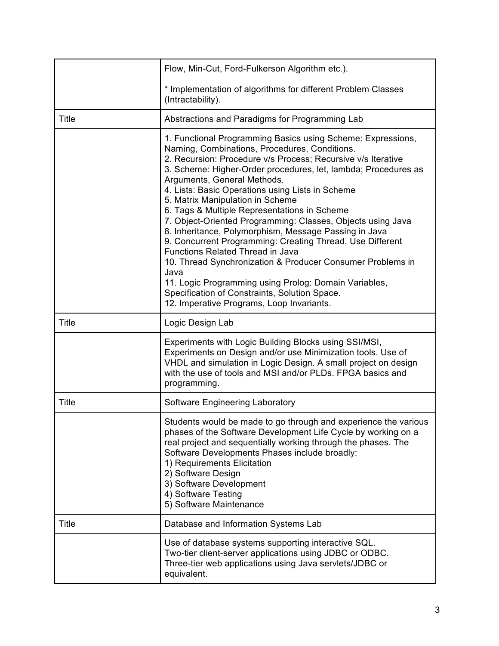|              | Flow, Min-Cut, Ford-Fulkerson Algorithm etc.).                                                                                                                                                                                                                                                                                                                                                                                                                                                                                                                                                                                                                                                                                                                                                                                                                                     |
|--------------|------------------------------------------------------------------------------------------------------------------------------------------------------------------------------------------------------------------------------------------------------------------------------------------------------------------------------------------------------------------------------------------------------------------------------------------------------------------------------------------------------------------------------------------------------------------------------------------------------------------------------------------------------------------------------------------------------------------------------------------------------------------------------------------------------------------------------------------------------------------------------------|
|              | * Implementation of algorithms for different Problem Classes<br>(Intractability).                                                                                                                                                                                                                                                                                                                                                                                                                                                                                                                                                                                                                                                                                                                                                                                                  |
| <b>Title</b> | Abstractions and Paradigms for Programming Lab                                                                                                                                                                                                                                                                                                                                                                                                                                                                                                                                                                                                                                                                                                                                                                                                                                     |
|              | 1. Functional Programming Basics using Scheme: Expressions,<br>Naming, Combinations, Procedures, Conditions.<br>2. Recursion: Procedure v/s Process; Recursive v/s Iterative<br>3. Scheme: Higher-Order procedures, let, lambda; Procedures as<br>Arguments, General Methods.<br>4. Lists: Basic Operations using Lists in Scheme<br>5. Matrix Manipulation in Scheme<br>6. Tags & Multiple Representations in Scheme<br>7. Object-Oriented Programming: Classes, Objects using Java<br>8. Inheritance, Polymorphism, Message Passing in Java<br>9. Concurrent Programming: Creating Thread, Use Different<br><b>Functions Related Thread in Java</b><br>10. Thread Synchronization & Producer Consumer Problems in<br>Java<br>11. Logic Programming using Prolog: Domain Variables,<br>Specification of Constraints, Solution Space.<br>12. Imperative Programs, Loop Invariants. |
| <b>Title</b> | Logic Design Lab                                                                                                                                                                                                                                                                                                                                                                                                                                                                                                                                                                                                                                                                                                                                                                                                                                                                   |
|              | Experiments with Logic Building Blocks using SSI/MSI,<br>Experiments on Design and/or use Minimization tools. Use of<br>VHDL and simulation in Logic Design. A small project on design<br>with the use of tools and MSI and/or PLDs. FPGA basics and<br>programming.                                                                                                                                                                                                                                                                                                                                                                                                                                                                                                                                                                                                               |
| <b>Title</b> | <b>Software Engineering Laboratory</b>                                                                                                                                                                                                                                                                                                                                                                                                                                                                                                                                                                                                                                                                                                                                                                                                                                             |
|              | Students would be made to go through and experience the various<br>phases of the Software Development Life Cycle by working on a<br>real project and sequentially working through the phases. The<br>Software Developments Phases include broadly:<br>1) Requirements Elicitation<br>2) Software Design<br>3) Software Development<br>4) Software Testing<br>5) Software Maintenance                                                                                                                                                                                                                                                                                                                                                                                                                                                                                               |
| <b>Title</b> | Database and Information Systems Lab                                                                                                                                                                                                                                                                                                                                                                                                                                                                                                                                                                                                                                                                                                                                                                                                                                               |
|              | Use of database systems supporting interactive SQL.<br>Two-tier client-server applications using JDBC or ODBC.<br>Three-tier web applications using Java servlets/JDBC or<br>equivalent.                                                                                                                                                                                                                                                                                                                                                                                                                                                                                                                                                                                                                                                                                           |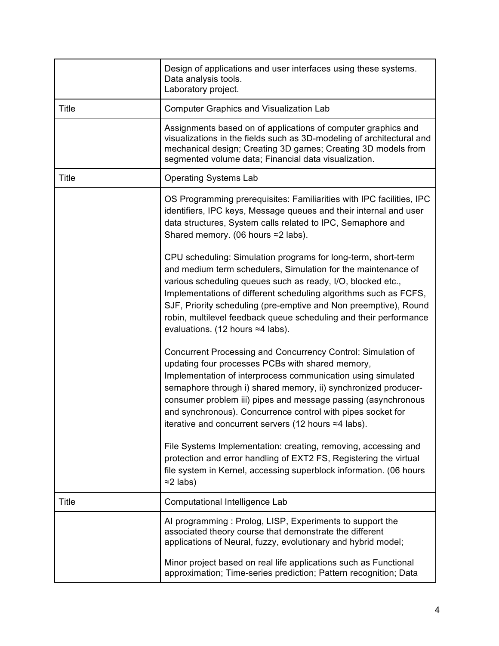|              | Design of applications and user interfaces using these systems.<br>Data analysis tools.<br>Laboratory project.                                                                                                                                                                                                                                                                                                                                                                                               |
|--------------|--------------------------------------------------------------------------------------------------------------------------------------------------------------------------------------------------------------------------------------------------------------------------------------------------------------------------------------------------------------------------------------------------------------------------------------------------------------------------------------------------------------|
| <b>Title</b> | <b>Computer Graphics and Visualization Lab</b>                                                                                                                                                                                                                                                                                                                                                                                                                                                               |
|              | Assignments based on of applications of computer graphics and<br>visualizations in the fields such as 3D-modeling of architectural and<br>mechanical design; Creating 3D games; Creating 3D models from<br>segmented volume data; Financial data visualization.                                                                                                                                                                                                                                              |
| <b>Title</b> | <b>Operating Systems Lab</b>                                                                                                                                                                                                                                                                                                                                                                                                                                                                                 |
|              | OS Programming prerequisites: Familiarities with IPC facilities, IPC<br>identifiers, IPC keys, Message queues and their internal and user<br>data structures, System calls related to IPC, Semaphore and<br>Shared memory. (06 hours ≈2 labs).                                                                                                                                                                                                                                                               |
|              | CPU scheduling: Simulation programs for long-term, short-term<br>and medium term schedulers, Simulation for the maintenance of<br>various scheduling queues such as ready, I/O, blocked etc.,<br>Implementations of different scheduling algorithms such as FCFS,<br>SJF, Priority scheduling (pre-emptive and Non preemptive), Round<br>robin, multilevel feedback queue scheduling and their performance<br>evaluations. (12 hours ≈4 labs).                                                               |
|              | Concurrent Processing and Concurrency Control: Simulation of<br>updating four processes PCBs with shared memory,<br>Implementation of interprocess communication using simulated<br>semaphore through i) shared memory, ii) synchronized producer-<br>consumer problem iii) pipes and message passing (asynchronous<br>and synchronous). Concurrence control with pipes socket for<br>iterative and concurrent servers (12 hours ≈4 labs).<br>File Systems Implementation: creating, removing, accessing and |
|              | protection and error handling of EXT2 FS, Registering the virtual<br>file system in Kernel, accessing superblock information. (06 hours<br>$\approx$ 2 labs)                                                                                                                                                                                                                                                                                                                                                 |
| <b>Title</b> | Computational Intelligence Lab                                                                                                                                                                                                                                                                                                                                                                                                                                                                               |
|              | Al programming: Prolog, LISP, Experiments to support the<br>associated theory course that demonstrate the different<br>applications of Neural, fuzzy, evolutionary and hybrid model;                                                                                                                                                                                                                                                                                                                         |
|              | Minor project based on real life applications such as Functional<br>approximation; Time-series prediction; Pattern recognition; Data                                                                                                                                                                                                                                                                                                                                                                         |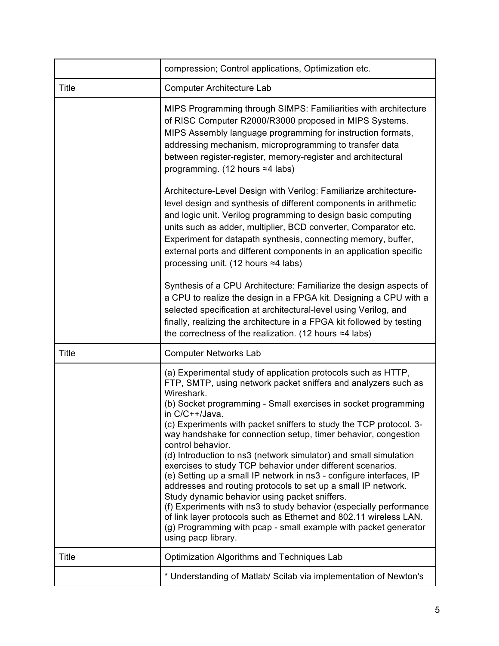|              | compression; Control applications, Optimization etc.                                                                                                                                                                                                                                                                                                                                                                                                                                                                                                                                                                                                                                                                                                                                                                                                                                                                                                           |
|--------------|----------------------------------------------------------------------------------------------------------------------------------------------------------------------------------------------------------------------------------------------------------------------------------------------------------------------------------------------------------------------------------------------------------------------------------------------------------------------------------------------------------------------------------------------------------------------------------------------------------------------------------------------------------------------------------------------------------------------------------------------------------------------------------------------------------------------------------------------------------------------------------------------------------------------------------------------------------------|
| <b>Title</b> | Computer Architecture Lab                                                                                                                                                                                                                                                                                                                                                                                                                                                                                                                                                                                                                                                                                                                                                                                                                                                                                                                                      |
|              | MIPS Programming through SIMPS: Familiarities with architecture<br>of RISC Computer R2000/R3000 proposed in MIPS Systems.<br>MIPS Assembly language programming for instruction formats,<br>addressing mechanism, microprogramming to transfer data<br>between register-register, memory-register and architectural<br>programming. (12 hours ≈4 labs)                                                                                                                                                                                                                                                                                                                                                                                                                                                                                                                                                                                                         |
|              | Architecture-Level Design with Verilog: Familiarize architecture-<br>level design and synthesis of different components in arithmetic<br>and logic unit. Verilog programming to design basic computing<br>units such as adder, multiplier, BCD converter, Comparator etc.<br>Experiment for datapath synthesis, connecting memory, buffer,<br>external ports and different components in an application specific<br>processing unit. (12 hours $\approx$ 4 labs)                                                                                                                                                                                                                                                                                                                                                                                                                                                                                               |
|              | Synthesis of a CPU Architecture: Familiarize the design aspects of<br>a CPU to realize the design in a FPGA kit. Designing a CPU with a<br>selected specification at architectural-level using Verilog, and<br>finally, realizing the architecture in a FPGA kit followed by testing<br>the correctness of the realization. (12 hours $\approx$ 4 labs)                                                                                                                                                                                                                                                                                                                                                                                                                                                                                                                                                                                                        |
| <b>Title</b> | <b>Computer Networks Lab</b>                                                                                                                                                                                                                                                                                                                                                                                                                                                                                                                                                                                                                                                                                                                                                                                                                                                                                                                                   |
|              | (a) Experimental study of application protocols such as HTTP,<br>FTP, SMTP, using network packet sniffers and analyzers such as<br>Wireshark.<br>(b) Socket programming - Small exercises in socket programming<br>in C/C++/Java.<br>(c) Experiments with packet sniffers to study the TCP protocol. 3-<br>way handshake for connection setup, timer behavior, congestion<br>control behavior.<br>(d) Introduction to ns3 (network simulator) and small simulation<br>exercises to study TCP behavior under different scenarios.<br>(e) Setting up a small IP network in ns3 - configure interfaces, IP<br>addresses and routing protocols to set up a small IP network.<br>Study dynamic behavior using packet sniffers.<br>(f) Experiments with ns3 to study behavior (especially performance<br>of link layer protocols such as Ethernet and 802.11 wireless LAN.<br>(g) Programming with pcap - small example with packet generator<br>using pacp library. |
| Title        | Optimization Algorithms and Techniques Lab                                                                                                                                                                                                                                                                                                                                                                                                                                                                                                                                                                                                                                                                                                                                                                                                                                                                                                                     |
|              | * Understanding of Matlab/ Scilab via implementation of Newton's                                                                                                                                                                                                                                                                                                                                                                                                                                                                                                                                                                                                                                                                                                                                                                                                                                                                                               |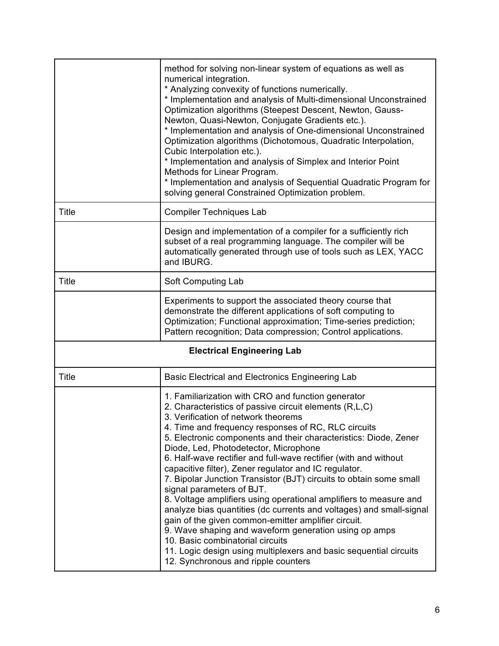|              | method for solving non-linear system of equations as well as<br>numerical integration.<br>* Analyzing convexity of functions numerically.<br>* Implementation and analysis of Multi-dimensional Unconstrained<br>Optimization algorithms (Steepest Descent, Newton, Gauss-<br>Newton, Quasi-Newton, Conjugate Gradients etc.).<br>* Implementation and analysis of One-dimensional Unconstrained<br>Optimization algorithms (Dichotomous, Quadratic Interpolation,<br>Cubic Interpolation etc.).<br>* Implementation and analysis of Simplex and Interior Point<br>Methods for Linear Program.<br>* Implementation and analysis of Sequential Quadratic Program for<br>solving general Constrained Optimization problem.                                                                                                                                                                                                                                            |
|--------------|---------------------------------------------------------------------------------------------------------------------------------------------------------------------------------------------------------------------------------------------------------------------------------------------------------------------------------------------------------------------------------------------------------------------------------------------------------------------------------------------------------------------------------------------------------------------------------------------------------------------------------------------------------------------------------------------------------------------------------------------------------------------------------------------------------------------------------------------------------------------------------------------------------------------------------------------------------------------|
| Title        | <b>Compiler Techniques Lab</b>                                                                                                                                                                                                                                                                                                                                                                                                                                                                                                                                                                                                                                                                                                                                                                                                                                                                                                                                      |
|              | Design and implementation of a compiler for a sufficiently rich<br>subset of a real programming language. The compiler will be<br>automatically generated through use of tools such as LEX, YACC<br>and IBURG.                                                                                                                                                                                                                                                                                                                                                                                                                                                                                                                                                                                                                                                                                                                                                      |
| <b>Title</b> | Soft Computing Lab                                                                                                                                                                                                                                                                                                                                                                                                                                                                                                                                                                                                                                                                                                                                                                                                                                                                                                                                                  |
|              | Experiments to support the associated theory course that<br>demonstrate the different applications of soft computing to<br>Optimization; Functional approximation; Time-series prediction;<br>Pattern recognition; Data compression; Control applications.                                                                                                                                                                                                                                                                                                                                                                                                                                                                                                                                                                                                                                                                                                          |
|              | <b>Electrical Engineering Lab</b>                                                                                                                                                                                                                                                                                                                                                                                                                                                                                                                                                                                                                                                                                                                                                                                                                                                                                                                                   |
| <b>Title</b> | Basic Electrical and Electronics Engineering Lab                                                                                                                                                                                                                                                                                                                                                                                                                                                                                                                                                                                                                                                                                                                                                                                                                                                                                                                    |
|              | 1. Familiarization with CRO and function generator<br>2. Characteristics of passive circuit elements (R,L,C)<br>3. Verification of network theorems<br>4. Time and frequency responses of RC, RLC circuits<br>5. Electronic components and their characteristics: Diode, Zener<br>Diode, Led, Photodetector, Microphone<br>6. Half-wave rectifier and full-wave rectifier (with and without<br>capacitive filter), Zener regulator and IC regulator.<br>7. Bipolar Junction Transistor (BJT) circuits to obtain some small<br>signal parameters of BJT.<br>8. Voltage amplifiers using operational amplifiers to measure and<br>analyze bias quantities (dc currents and voltages) and small-signal<br>gain of the given common-emitter amplifier circuit.<br>9. Wave shaping and waveform generation using op amps<br>10. Basic combinatorial circuits<br>11. Logic design using multiplexers and basic sequential circuits<br>12. Synchronous and ripple counters |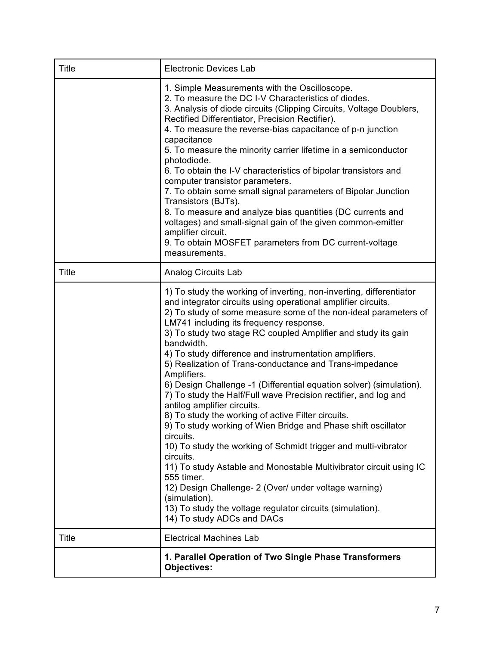| <b>Title</b> | <b>Electronic Devices Lab</b>                                                                                                                                                                                                                                                                                                                                                                                                                                                                                                                                                                                                                                                                                                                                                                                                                                                                                                                                                                                                                                                                                              |
|--------------|----------------------------------------------------------------------------------------------------------------------------------------------------------------------------------------------------------------------------------------------------------------------------------------------------------------------------------------------------------------------------------------------------------------------------------------------------------------------------------------------------------------------------------------------------------------------------------------------------------------------------------------------------------------------------------------------------------------------------------------------------------------------------------------------------------------------------------------------------------------------------------------------------------------------------------------------------------------------------------------------------------------------------------------------------------------------------------------------------------------------------|
|              | 1. Simple Measurements with the Oscilloscope.<br>2. To measure the DC I-V Characteristics of diodes.<br>3. Analysis of diode circuits (Clipping Circuits, Voltage Doublers,<br>Rectified Differentiator, Precision Rectifier).<br>4. To measure the reverse-bias capacitance of p-n junction<br>capacitance<br>5. To measure the minority carrier lifetime in a semiconductor<br>photodiode.<br>6. To obtain the I-V characteristics of bipolar transistors and<br>computer transistor parameters.<br>7. To obtain some small signal parameters of Bipolar Junction<br>Transistors (BJTs).<br>8. To measure and analyze bias quantities (DC currents and<br>voltages) and small-signal gain of the given common-emitter<br>amplifier circuit.<br>9. To obtain MOSFET parameters from DC current-voltage<br>measurements.                                                                                                                                                                                                                                                                                                   |
| <b>Title</b> | <b>Analog Circuits Lab</b>                                                                                                                                                                                                                                                                                                                                                                                                                                                                                                                                                                                                                                                                                                                                                                                                                                                                                                                                                                                                                                                                                                 |
|              | 1) To study the working of inverting, non-inverting, differentiator<br>and integrator circuits using operational amplifier circuits.<br>2) To study of some measure some of the non-ideal parameters of<br>LM741 including its frequency response.<br>3) To study two stage RC coupled Amplifier and study its gain<br>bandwidth.<br>4) To study difference and instrumentation amplifiers.<br>5) Realization of Trans-conductance and Trans-impedance<br>Amplifiers.<br>6) Design Challenge -1 (Differential equation solver) (simulation).<br>7) To study the Half/Full wave Precision rectifier, and log and<br>antilog amplifier circuits.<br>8) To study the working of active Filter circuits.<br>9) To study working of Wien Bridge and Phase shift oscillator<br>circuits.<br>10) To study the working of Schmidt trigger and multi-vibrator<br>circuits.<br>11) To study Astable and Monostable Multivibrator circuit using IC<br>555 timer.<br>12) Design Challenge- 2 (Over/ under voltage warning)<br>(simulation).<br>13) To study the voltage regulator circuits (simulation).<br>14) To study ADCs and DACs |
| <b>Title</b> | <b>Electrical Machines Lab</b>                                                                                                                                                                                                                                                                                                                                                                                                                                                                                                                                                                                                                                                                                                                                                                                                                                                                                                                                                                                                                                                                                             |
|              | 1. Parallel Operation of Two Single Phase Transformers<br><b>Objectives:</b>                                                                                                                                                                                                                                                                                                                                                                                                                                                                                                                                                                                                                                                                                                                                                                                                                                                                                                                                                                                                                                               |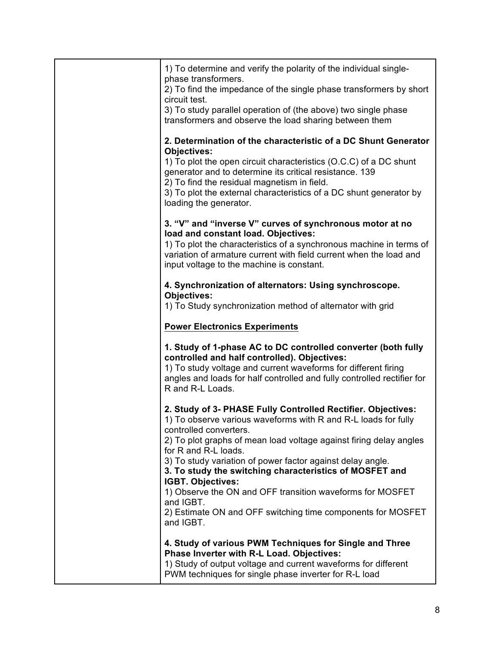| 1) To determine and verify the polarity of the individual single-<br>phase transformers.                                                                                                                                                                                                  |
|-------------------------------------------------------------------------------------------------------------------------------------------------------------------------------------------------------------------------------------------------------------------------------------------|
| 2) To find the impedance of the single phase transformers by short<br>circuit test.                                                                                                                                                                                                       |
| 3) To study parallel operation of (the above) two single phase<br>transformers and observe the load sharing between them                                                                                                                                                                  |
| 2. Determination of the characteristic of a DC Shunt Generator<br><b>Objectives:</b>                                                                                                                                                                                                      |
| 1) To plot the open circuit characteristics (O.C.C) of a DC shunt<br>generator and to determine its critical resistance. 139<br>2) To find the residual magnetism in field.<br>3) To plot the external characteristics of a DC shunt generator by                                         |
| loading the generator.                                                                                                                                                                                                                                                                    |
| 3. "V" and "inverse V" curves of synchronous motor at no<br>load and constant load. Objectives:<br>1) To plot the characteristics of a synchronous machine in terms of<br>variation of armature current with field current when the load and<br>input voltage to the machine is constant. |
| 4. Synchronization of alternators: Using synchroscope.                                                                                                                                                                                                                                    |
| <b>Objectives:</b><br>1) To Study synchronization method of alternator with grid                                                                                                                                                                                                          |
| <b>Power Electronics Experiments</b>                                                                                                                                                                                                                                                      |
| 1. Study of 1-phase AC to DC controlled converter (both fully<br>controlled and half controlled). Objectives:<br>1) To study voltage and current waveforms for different firing<br>angles and loads for half controlled and fully controlled rectifier for<br>R and R-L Loads.            |
| 2. Study of 3- PHASE Fully Controlled Rectifier. Objectives:<br>1) To observe various waveforms with R and R-L loads for fully<br>controlled converters.                                                                                                                                  |
| 2) To plot graphs of mean load voltage against firing delay angles<br>for R and R-L loads.<br>3) To study variation of power factor against delay angle.                                                                                                                                  |
| 3. To study the switching characteristics of MOSFET and<br>IGBT. Objectives:                                                                                                                                                                                                              |
| 1) Observe the ON and OFF transition waveforms for MOSFET<br>and IGBT.                                                                                                                                                                                                                    |
| 2) Estimate ON and OFF switching time components for MOSFET<br>and IGBT.                                                                                                                                                                                                                  |
| 4. Study of various PWM Techniques for Single and Three<br>Phase Inverter with R-L Load. Objectives:                                                                                                                                                                                      |
| 1) Study of output voltage and current waveforms for different<br>PWM techniques for single phase inverter for R-L load                                                                                                                                                                   |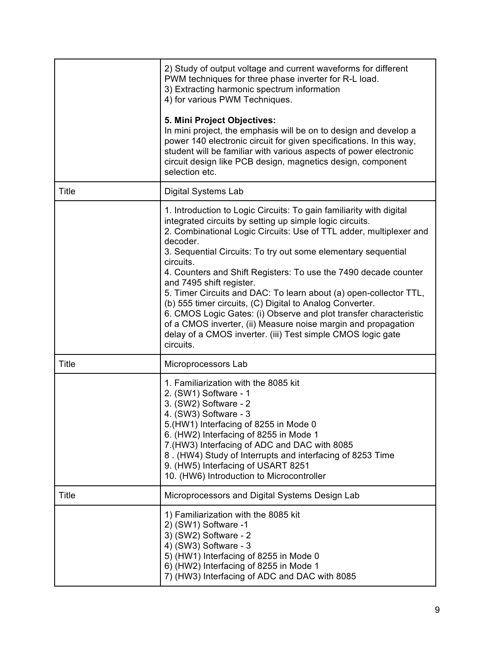|              | 2) Study of output voltage and current waveforms for different<br>PWM techniques for three phase inverter for R-L load.<br>3) Extracting harmonic spectrum information<br>4) for various PWM Techniques.<br>5. Mini Project Objectives:<br>In mini project, the emphasis will be on to design and develop a<br>power 140 electronic circuit for given specifications. In this way,<br>student will be familiar with various aspects of power electronic<br>circuit design like PCB design, magnetics design, component<br>selection etc.                                                                                                                                                                                                          |
|--------------|---------------------------------------------------------------------------------------------------------------------------------------------------------------------------------------------------------------------------------------------------------------------------------------------------------------------------------------------------------------------------------------------------------------------------------------------------------------------------------------------------------------------------------------------------------------------------------------------------------------------------------------------------------------------------------------------------------------------------------------------------|
| Title        | Digital Systems Lab                                                                                                                                                                                                                                                                                                                                                                                                                                                                                                                                                                                                                                                                                                                               |
|              | 1. Introduction to Logic Circuits: To gain familiarity with digital<br>integrated circuits by setting up simple logic circuits.<br>2. Combinational Logic Circuits: Use of TTL adder, multiplexer and<br>decoder.<br>3. Sequential Circuits: To try out some elementary sequential<br>circuits.<br>4. Counters and Shift Registers: To use the 7490 decade counter<br>and 7495 shift register.<br>5. Timer Circuits and DAC: To learn about (a) open-collector TTL,<br>(b) 555 timer circuits, (C) Digital to Analog Converter.<br>6. CMOS Logic Gates: (i) Observe and plot transfer characteristic<br>of a CMOS inverter, (ii) Measure noise margin and propagation<br>delay of a CMOS inverter. (iii) Test simple CMOS logic gate<br>circuits. |
| <b>Title</b> | Microprocessors Lab                                                                                                                                                                                                                                                                                                                                                                                                                                                                                                                                                                                                                                                                                                                               |
|              | 1. Familiarization with the 8085 kit<br>2. (SW1) Software - 1<br>3. (SW2) Software - 2<br>4. (SW3) Software - 3<br>5.(HW1) Interfacing of 8255 in Mode 0<br>6. (HW2) Interfacing of 8255 in Mode 1<br>7.(HW3) Interfacing of ADC and DAC with 8085<br>8. (HW4) Study of Interrupts and interfacing of 8253 Time<br>9. (HW5) Interfacing of USART 8251<br>10. (HW6) Introduction to Microcontroller                                                                                                                                                                                                                                                                                                                                                |
| <b>Title</b> | Microprocessors and Digital Systems Design Lab                                                                                                                                                                                                                                                                                                                                                                                                                                                                                                                                                                                                                                                                                                    |
|              | 1) Familiarization with the 8085 kit<br>2) (SW1) Software -1<br>3) (SW2) Software - 2<br>4) (SW3) Software - 3<br>5) (HW1) Interfacing of 8255 in Mode 0<br>6) (HW2) Interfacing of 8255 in Mode 1<br>7) (HW3) Interfacing of ADC and DAC with 8085                                                                                                                                                                                                                                                                                                                                                                                                                                                                                               |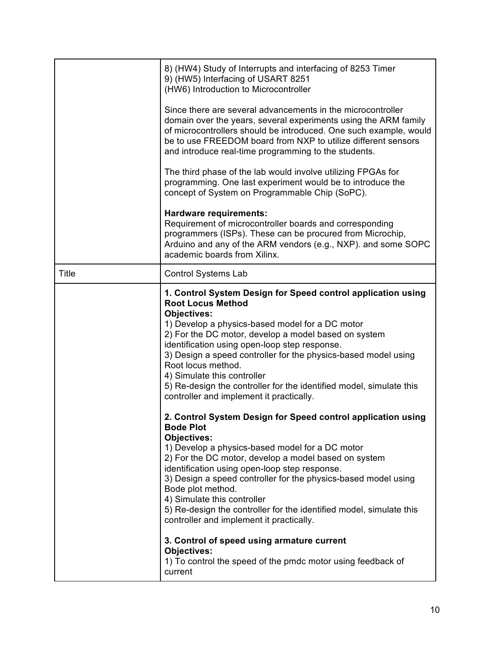|              | 8) (HW4) Study of Interrupts and interfacing of 8253 Timer<br>9) (HW5) Interfacing of USART 8251<br>(HW6) Introduction to Microcontroller<br>Since there are several advancements in the microcontroller<br>domain over the years, several experiments using the ARM family<br>of microcontrollers should be introduced. One such example, would<br>be to use FREEDOM board from NXP to utilize different sensors<br>and introduce real-time programming to the students.<br>The third phase of the lab would involve utilizing FPGAs for<br>programming. One last experiment would be to introduce the<br>concept of System on Programmable Chip (SoPC).<br><b>Hardware requirements:</b> |
|--------------|--------------------------------------------------------------------------------------------------------------------------------------------------------------------------------------------------------------------------------------------------------------------------------------------------------------------------------------------------------------------------------------------------------------------------------------------------------------------------------------------------------------------------------------------------------------------------------------------------------------------------------------------------------------------------------------------|
|              | Requirement of microcontroller boards and corresponding<br>programmers (ISPs). These can be procured from Microchip,<br>Arduino and any of the ARM vendors (e.g., NXP). and some SOPC<br>academic boards from Xilinx.                                                                                                                                                                                                                                                                                                                                                                                                                                                                      |
| <b>Title</b> | <b>Control Systems Lab</b>                                                                                                                                                                                                                                                                                                                                                                                                                                                                                                                                                                                                                                                                 |
|              | 1. Control System Design for Speed control application using<br><b>Root Locus Method</b><br><b>Objectives:</b><br>1) Develop a physics-based model for a DC motor<br>2) For the DC motor, develop a model based on system<br>identification using open-loop step response.<br>3) Design a speed controller for the physics-based model using<br>Root locus method.<br>4) Simulate this controller<br>5) Re-design the controller for the identified model, simulate this<br>controller and implement it practically.                                                                                                                                                                       |
|              | 2. Control System Design for Speed control application using<br><b>Bode Plot</b><br><b>Objectives:</b><br>1) Develop a physics-based model for a DC motor<br>2) For the DC motor, develop a model based on system<br>identification using open-loop step response.<br>3) Design a speed controller for the physics-based model using<br>Bode plot method.<br>4) Simulate this controller<br>5) Re-design the controller for the identified model, simulate this<br>controller and implement it practically.<br>3. Control of speed using armature current<br><b>Objectives:</b><br>1) To control the speed of the pmdc motor using feedback of<br>current                                  |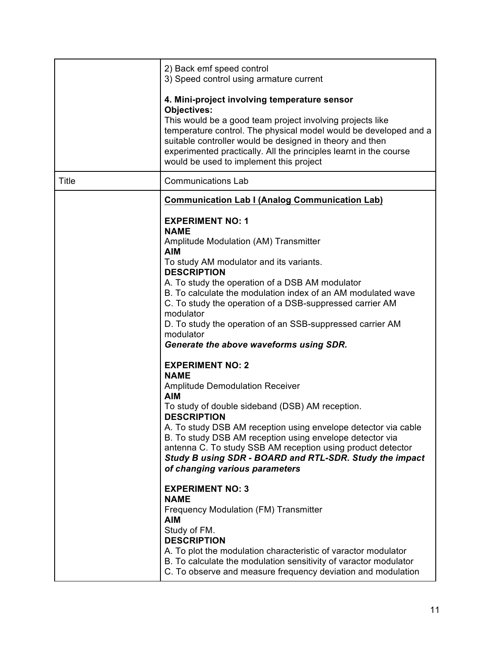|       | 2) Back emf speed control<br>3) Speed control using armature current                                                                                                                                                                                                                                                                                                                                                                                                                                                                                                                                                                                                                                                                                                                                                                                                                                                                                                                                                                                                                                                                                          |
|-------|---------------------------------------------------------------------------------------------------------------------------------------------------------------------------------------------------------------------------------------------------------------------------------------------------------------------------------------------------------------------------------------------------------------------------------------------------------------------------------------------------------------------------------------------------------------------------------------------------------------------------------------------------------------------------------------------------------------------------------------------------------------------------------------------------------------------------------------------------------------------------------------------------------------------------------------------------------------------------------------------------------------------------------------------------------------------------------------------------------------------------------------------------------------|
|       | 4. Mini-project involving temperature sensor<br><b>Objectives:</b><br>This would be a good team project involving projects like<br>temperature control. The physical model would be developed and a<br>suitable controller would be designed in theory and then<br>experimented practically. All the principles learnt in the course<br>would be used to implement this project                                                                                                                                                                                                                                                                                                                                                                                                                                                                                                                                                                                                                                                                                                                                                                               |
| Title | <b>Communications Lab</b>                                                                                                                                                                                                                                                                                                                                                                                                                                                                                                                                                                                                                                                                                                                                                                                                                                                                                                                                                                                                                                                                                                                                     |
|       | <b>Communication Lab I (Analog Communication Lab)</b>                                                                                                                                                                                                                                                                                                                                                                                                                                                                                                                                                                                                                                                                                                                                                                                                                                                                                                                                                                                                                                                                                                         |
|       | <b>EXPERIMENT NO: 1</b><br><b>NAME</b><br>Amplitude Modulation (AM) Transmitter<br><b>AIM</b><br>To study AM modulator and its variants.<br><b>DESCRIPTION</b><br>A. To study the operation of a DSB AM modulator<br>B. To calculate the modulation index of an AM modulated wave<br>C. To study the operation of a DSB-suppressed carrier AM<br>modulator<br>D. To study the operation of an SSB-suppressed carrier AM<br>modulator<br>Generate the above waveforms using SDR.<br><b>EXPERIMENT NO: 2</b><br><b>NAME</b><br><b>Amplitude Demodulation Receiver</b><br><b>AIM</b><br>To study of double sideband (DSB) AM reception.<br><b>DESCRIPTION</b><br>A. To study DSB AM reception using envelope detector via cable<br>B. To study DSB AM reception using envelope detector via<br>antenna C. To study SSB AM reception using product detector<br>Study B using SDR - BOARD and RTL-SDR. Study the impact<br>of changing various parameters<br><b>EXPERIMENT NO: 3</b><br><b>NAME</b><br>Frequency Modulation (FM) Transmitter<br><b>AIM</b><br>Study of FM.<br><b>DESCRIPTION</b><br>A. To plot the modulation characteristic of varactor modulator |
|       | B. To calculate the modulation sensitivity of varactor modulator<br>C. To observe and measure frequency deviation and modulation                                                                                                                                                                                                                                                                                                                                                                                                                                                                                                                                                                                                                                                                                                                                                                                                                                                                                                                                                                                                                              |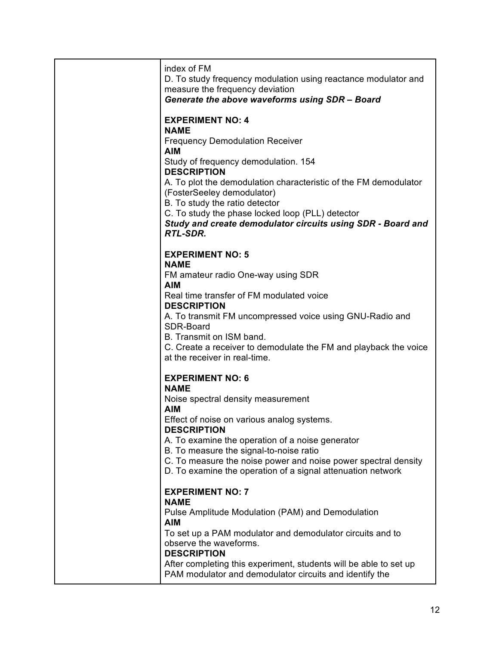| index of FM<br>D. To study frequency modulation using reactance modulator and<br>measure the frequency deviation<br>Generate the above waveforms using SDR - Board                                                                                                                                                                                                                                                                     |
|----------------------------------------------------------------------------------------------------------------------------------------------------------------------------------------------------------------------------------------------------------------------------------------------------------------------------------------------------------------------------------------------------------------------------------------|
| <b>EXPERIMENT NO: 4</b><br><b>NAME</b><br><b>Frequency Demodulation Receiver</b><br><b>AIM</b><br>Study of frequency demodulation. 154<br><b>DESCRIPTION</b><br>A. To plot the demodulation characteristic of the FM demodulator<br>(FosterSeeley demodulator)<br>B. To study the ratio detector<br>C. To study the phase locked loop (PLL) detector<br>Study and create demodulator circuits using SDR - Board and<br><b>RTL-SDR.</b> |
| <b>EXPERIMENT NO: 5</b><br><b>NAME</b><br>FM amateur radio One-way using SDR<br><b>AIM</b><br>Real time transfer of FM modulated voice<br><b>DESCRIPTION</b><br>A. To transmit FM uncompressed voice using GNU-Radio and<br>SDR-Board<br>B. Transmit on ISM band.<br>C. Create a receiver to demodulate the FM and playback the voice<br>at the receiver in real-time.                                                                 |
| <b>EXPERIMENT NO: 6</b><br><b>NAME</b><br>Noise spectral density measurement<br><b>AIM</b><br>Effect of noise on various analog systems.<br><b>DESCRIPTION</b><br>A. To examine the operation of a noise generator<br>B. To measure the signal-to-noise ratio<br>C. To measure the noise power and noise power spectral density<br>D. To examine the operation of a signal attenuation network                                         |
| <b>EXPERIMENT NO: 7</b><br><b>NAME</b><br>Pulse Amplitude Modulation (PAM) and Demodulation<br><b>AIM</b><br>To set up a PAM modulator and demodulator circuits and to<br>observe the waveforms.<br><b>DESCRIPTION</b><br>After completing this experiment, students will be able to set up<br>PAM modulator and demodulator circuits and identify the                                                                                 |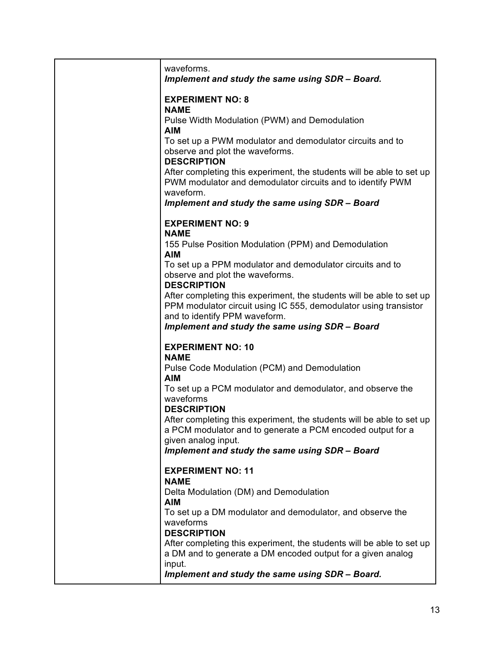| waveforms.<br>Implement and study the same using SDR - Board.                                                                                                              |
|----------------------------------------------------------------------------------------------------------------------------------------------------------------------------|
| <b>EXPERIMENT NO: 8</b>                                                                                                                                                    |
| <b>NAME</b><br>Pulse Width Modulation (PWM) and Demodulation                                                                                                               |
| <b>AIM</b><br>To set up a PWM modulator and demodulator circuits and to<br>observe and plot the waveforms.<br><b>DESCRIPTION</b>                                           |
| After completing this experiment, the students will be able to set up<br>PWM modulator and demodulator circuits and to identify PWM<br>waveform.                           |
| Implement and study the same using SDR - Board                                                                                                                             |
| <b>EXPERIMENT NO: 9</b><br><b>NAME</b>                                                                                                                                     |
| 155 Pulse Position Modulation (PPM) and Demodulation<br><b>AIM</b>                                                                                                         |
| To set up a PPM modulator and demodulator circuits and to<br>observe and plot the waveforms.<br><b>DESCRIPTION</b>                                                         |
| After completing this experiment, the students will be able to set up<br>PPM modulator circuit using IC 555, demodulator using transistor<br>and to identify PPM waveform. |
| Implement and study the same using SDR - Board                                                                                                                             |
| <b>EXPERIMENT NO: 10</b><br><b>NAME</b>                                                                                                                                    |
| Pulse Code Modulation (PCM) and Demodulation<br><b>AIM</b>                                                                                                                 |
| To set up a PCM modulator and demodulator, and observe the<br>waveforms<br><b>DESCRIPTION</b>                                                                              |
| After completing this experiment, the students will be able to set up<br>a PCM modulator and to generate a PCM encoded output for a<br>given analog input.                 |
| Implement and study the same using SDR - Board                                                                                                                             |
| <b>EXPERIMENT NO: 11</b>                                                                                                                                                   |
| <b>NAME</b><br>Delta Modulation (DM) and Demodulation                                                                                                                      |
| <b>AIM</b><br>To set up a DM modulator and demodulator, and observe the<br>waveforms                                                                                       |
| <b>DESCRIPTION</b><br>After completing this experiment, the students will be able to set up<br>a DM and to generate a DM encoded output for a given analog                 |
| input.<br>Implement and study the same using SDR - Board.                                                                                                                  |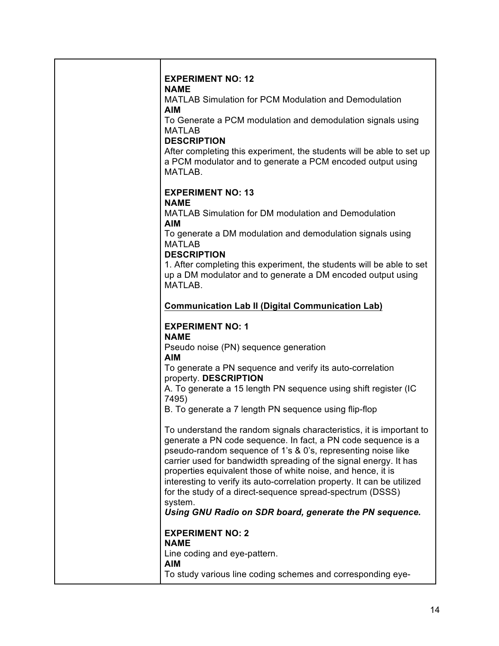| <b>EXPERIMENT NO: 12</b><br><b>NAME</b>                                                                                                                                                                                                                                                                                                                                                                                                                                                                                                                  |
|----------------------------------------------------------------------------------------------------------------------------------------------------------------------------------------------------------------------------------------------------------------------------------------------------------------------------------------------------------------------------------------------------------------------------------------------------------------------------------------------------------------------------------------------------------|
| <b>MATLAB Simulation for PCM Modulation and Demodulation</b><br><b>AIM</b>                                                                                                                                                                                                                                                                                                                                                                                                                                                                               |
| To Generate a PCM modulation and demodulation signals using<br><b>MATLAB</b><br><b>DESCRIPTION</b>                                                                                                                                                                                                                                                                                                                                                                                                                                                       |
| After completing this experiment, the students will be able to set up<br>a PCM modulator and to generate a PCM encoded output using<br>MATLAB.                                                                                                                                                                                                                                                                                                                                                                                                           |
| <b>EXPERIMENT NO: 13</b><br><b>NAME</b>                                                                                                                                                                                                                                                                                                                                                                                                                                                                                                                  |
| <b>MATLAB Simulation for DM modulation and Demodulation</b><br><b>AIM</b>                                                                                                                                                                                                                                                                                                                                                                                                                                                                                |
| To generate a DM modulation and demodulation signals using<br><b>MATLAB</b>                                                                                                                                                                                                                                                                                                                                                                                                                                                                              |
| <b>DESCRIPTION</b><br>1. After completing this experiment, the students will be able to set<br>up a DM modulator and to generate a DM encoded output using<br>MATLAB.                                                                                                                                                                                                                                                                                                                                                                                    |
| <b>Communication Lab II (Digital Communication Lab)</b>                                                                                                                                                                                                                                                                                                                                                                                                                                                                                                  |
| <b>EXPERIMENT NO: 1</b><br><b>NAME</b>                                                                                                                                                                                                                                                                                                                                                                                                                                                                                                                   |
| Pseudo noise (PN) sequence generation<br><b>AIM</b>                                                                                                                                                                                                                                                                                                                                                                                                                                                                                                      |
| To generate a PN sequence and verify its auto-correlation<br>property. DESCRIPTION                                                                                                                                                                                                                                                                                                                                                                                                                                                                       |
| A. To generate a 15 length PN sequence using shift register (IC<br>7495)                                                                                                                                                                                                                                                                                                                                                                                                                                                                                 |
| B. To generate a 7 length PN sequence using flip-flop                                                                                                                                                                                                                                                                                                                                                                                                                                                                                                    |
| To understand the random signals characteristics, it is important to<br>generate a PN code sequence. In fact, a PN code sequence is a<br>pseudo-random sequence of 1's & 0's, representing noise like<br>carrier used for bandwidth spreading of the signal energy. It has<br>properties equivalent those of white noise, and hence, it is<br>interesting to verify its auto-correlation property. It can be utilized<br>for the study of a direct-sequence spread-spectrum (DSSS)<br>system.<br>Using GNU Radio on SDR board, generate the PN sequence. |
| <b>EXPERIMENT NO: 2</b>                                                                                                                                                                                                                                                                                                                                                                                                                                                                                                                                  |
| <b>NAME</b><br>Line coding and eye-pattern.                                                                                                                                                                                                                                                                                                                                                                                                                                                                                                              |
| <b>AIM</b><br>To study various line coding schemes and corresponding eye-                                                                                                                                                                                                                                                                                                                                                                                                                                                                                |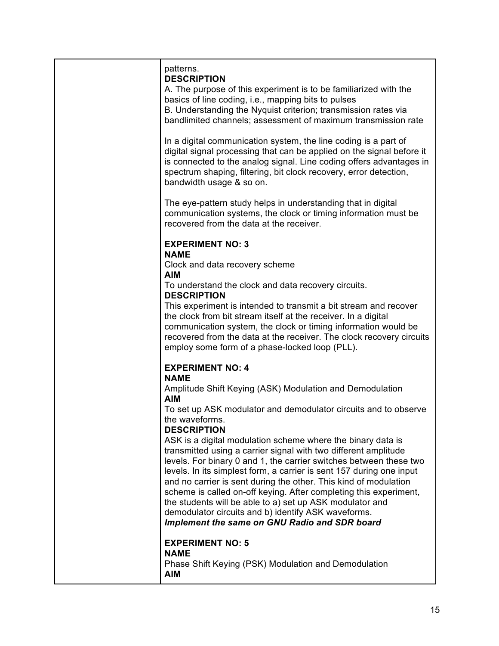| patterns.<br><b>DESCRIPTION</b><br>A. The purpose of this experiment is to be familiarized with the<br>basics of line coding, i.e., mapping bits to pulses<br>B. Understanding the Nyquist criterion; transmission rates via<br>bandlimited channels; assessment of maximum transmission rate                                                                                                                                                                                                                                                                                                    |
|--------------------------------------------------------------------------------------------------------------------------------------------------------------------------------------------------------------------------------------------------------------------------------------------------------------------------------------------------------------------------------------------------------------------------------------------------------------------------------------------------------------------------------------------------------------------------------------------------|
| In a digital communication system, the line coding is a part of<br>digital signal processing that can be applied on the signal before it<br>is connected to the analog signal. Line coding offers advantages in<br>spectrum shaping, filtering, bit clock recovery, error detection,<br>bandwidth usage & so on.                                                                                                                                                                                                                                                                                 |
| The eye-pattern study helps in understanding that in digital<br>communication systems, the clock or timing information must be<br>recovered from the data at the receiver.                                                                                                                                                                                                                                                                                                                                                                                                                       |
| <b>EXPERIMENT NO: 3</b>                                                                                                                                                                                                                                                                                                                                                                                                                                                                                                                                                                          |
| <b>NAME</b><br>Clock and data recovery scheme<br><b>AIM</b>                                                                                                                                                                                                                                                                                                                                                                                                                                                                                                                                      |
| To understand the clock and data recovery circuits.<br><b>DESCRIPTION</b>                                                                                                                                                                                                                                                                                                                                                                                                                                                                                                                        |
| This experiment is intended to transmit a bit stream and recover<br>the clock from bit stream itself at the receiver. In a digital<br>communication system, the clock or timing information would be<br>recovered from the data at the receiver. The clock recovery circuits<br>employ some form of a phase-locked loop (PLL).                                                                                                                                                                                                                                                                   |
| <b>EXPERIMENT NO: 4</b>                                                                                                                                                                                                                                                                                                                                                                                                                                                                                                                                                                          |
| <b>NAME</b><br>Amplitude Shift Keying (ASK) Modulation and Demodulation<br><b>AIM</b>                                                                                                                                                                                                                                                                                                                                                                                                                                                                                                            |
| To set up ASK modulator and demodulator circuits and to observe<br>the waveforms.<br><b>DESCRIPTION</b>                                                                                                                                                                                                                                                                                                                                                                                                                                                                                          |
| ASK is a digital modulation scheme where the binary data is<br>transmitted using a carrier signal with two different amplitude<br>levels. For binary 0 and 1, the carrier switches between these two<br>levels. In its simplest form, a carrier is sent 157 during one input<br>and no carrier is sent during the other. This kind of modulation<br>scheme is called on-off keying. After completing this experiment,<br>the students will be able to a) set up ASK modulator and<br>demodulator circuits and b) identify ASK waveforms.<br><b>Implement the same on GNU Radio and SDR board</b> |
| <b>EXPERIMENT NO: 5</b><br><b>NAME</b><br>Phase Shift Keying (PSK) Modulation and Demodulation<br><b>AIM</b>                                                                                                                                                                                                                                                                                                                                                                                                                                                                                     |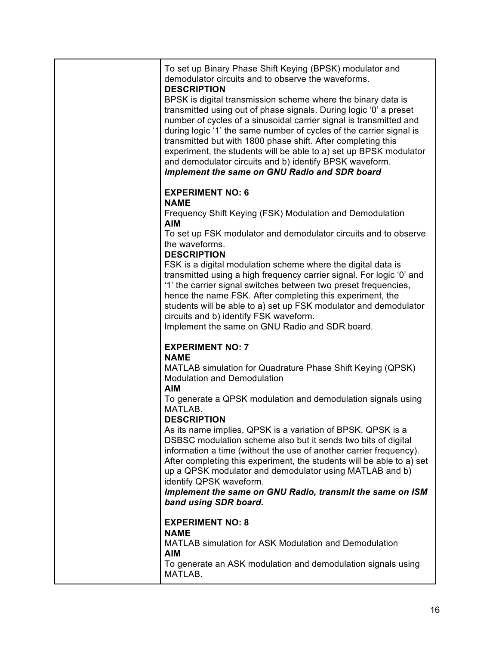| To set up Binary Phase Shift Keying (BPSK) modulator and<br>demodulator circuits and to observe the waveforms.<br><b>DESCRIPTION</b><br>BPSK is digital transmission scheme where the binary data is<br>transmitted using out of phase signals. During logic '0' a preset<br>number of cycles of a sinusoidal carrier signal is transmitted and<br>during logic '1' the same number of cycles of the carrier signal is<br>transmitted but with 1800 phase shift. After completing this<br>experiment, the students will be able to a) set up BPSK modulator<br>and demodulator circuits and b) identify BPSK waveform.<br>Implement the same on GNU Radio and SDR board |
|-------------------------------------------------------------------------------------------------------------------------------------------------------------------------------------------------------------------------------------------------------------------------------------------------------------------------------------------------------------------------------------------------------------------------------------------------------------------------------------------------------------------------------------------------------------------------------------------------------------------------------------------------------------------------|
| <b>EXPERIMENT NO: 6</b><br><b>NAME</b><br>Frequency Shift Keying (FSK) Modulation and Demodulation<br><b>AIM</b><br>To set up FSK modulator and demodulator circuits and to observe                                                                                                                                                                                                                                                                                                                                                                                                                                                                                     |
| the waveforms.<br><b>DESCRIPTION</b><br>FSK is a digital modulation scheme where the digital data is<br>transmitted using a high frequency carrier signal. For logic '0' and<br>'1' the carrier signal switches between two preset frequencies,<br>hence the name FSK. After completing this experiment, the<br>students will be able to a) set up FSK modulator and demodulator<br>circuits and b) identify FSK waveform.<br>Implement the same on GNU Radio and SDR board.                                                                                                                                                                                            |
| <b>EXPERIMENT NO: 7</b><br><b>NAME</b><br>MATLAB simulation for Quadrature Phase Shift Keying (QPSK)<br><b>Modulation and Demodulation</b><br><b>AIM</b><br>To generate a QPSK modulation and demodulation signals using                                                                                                                                                                                                                                                                                                                                                                                                                                                |
| MATLAB.<br><b>DESCRIPTION</b><br>As its name implies, QPSK is a variation of BPSK. QPSK is a<br>DSBSC modulation scheme also but it sends two bits of digital<br>information a time (without the use of another carrier frequency).<br>After completing this experiment, the students will be able to a) set<br>up a QPSK modulator and demodulator using MATLAB and b)<br>identify QPSK waveform.<br>Implement the same on GNU Radio, transmit the same on ISM<br>band using SDR board.                                                                                                                                                                                |
| <b>EXPERIMENT NO: 8</b><br><b>NAME</b><br>MATLAB simulation for ASK Modulation and Demodulation<br><b>AIM</b><br>To generate an ASK modulation and demodulation signals using<br>MATLAB.                                                                                                                                                                                                                                                                                                                                                                                                                                                                                |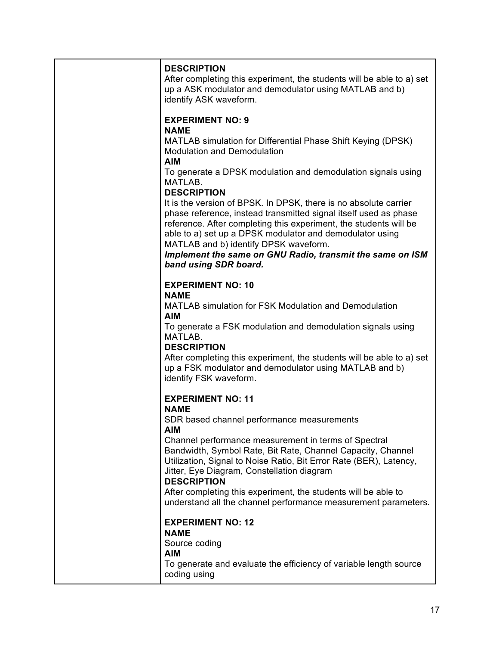| <b>DESCRIPTION</b><br>After completing this experiment, the students will be able to a) set<br>up a ASK modulator and demodulator using MATLAB and b)<br>identify ASK waveform.                                                                                                                                                                                                                                                                                                                                                                                                                                                                                     |
|---------------------------------------------------------------------------------------------------------------------------------------------------------------------------------------------------------------------------------------------------------------------------------------------------------------------------------------------------------------------------------------------------------------------------------------------------------------------------------------------------------------------------------------------------------------------------------------------------------------------------------------------------------------------|
| <b>EXPERIMENT NO: 9</b><br><b>NAME</b><br>MATLAB simulation for Differential Phase Shift Keying (DPSK)<br><b>Modulation and Demodulation</b><br><b>AIM</b><br>To generate a DPSK modulation and demodulation signals using<br>MATLAB.<br><b>DESCRIPTION</b><br>It is the version of BPSK. In DPSK, there is no absolute carrier<br>phase reference, instead transmitted signal itself used as phase<br>reference. After completing this experiment, the students will be<br>able to a) set up a DPSK modulator and demodulator using<br>MATLAB and b) identify DPSK waveform.<br>Implement the same on GNU Radio, transmit the same on ISM<br>band using SDR board. |
| <b>EXPERIMENT NO: 10</b><br><b>NAME</b><br><b>MATLAB simulation for FSK Modulation and Demodulation</b><br><b>AIM</b><br>To generate a FSK modulation and demodulation signals using<br>MATLAB.<br><b>DESCRIPTION</b><br>After completing this experiment, the students will be able to a) set<br>up a FSK modulator and demodulator using MATLAB and b)<br>identify FSK waveform.                                                                                                                                                                                                                                                                                  |
| <b>EXPERIMENT NO: 11</b><br><b>NAME</b><br>SDR based channel performance measurements<br><b>AIM</b><br>Channel performance measurement in terms of Spectral<br>Bandwidth, Symbol Rate, Bit Rate, Channel Capacity, Channel<br>Utilization, Signal to Noise Ratio, Bit Error Rate (BER), Latency,<br>Jitter, Eye Diagram, Constellation diagram<br><b>DESCRIPTION</b><br>After completing this experiment, the students will be able to<br>understand all the channel performance measurement parameters.                                                                                                                                                            |
| <b>EXPERIMENT NO: 12</b><br><b>NAME</b><br>Source coding<br><b>AIM</b><br>To generate and evaluate the efficiency of variable length source<br>coding using                                                                                                                                                                                                                                                                                                                                                                                                                                                                                                         |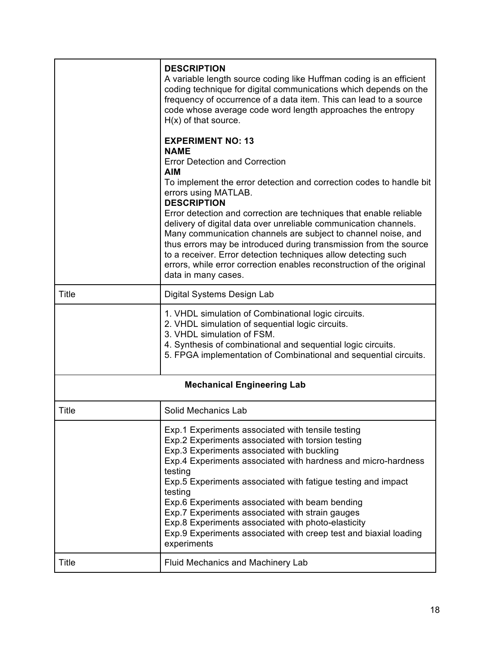|                                   | <b>DESCRIPTION</b><br>A variable length source coding like Huffman coding is an efficient<br>coding technique for digital communications which depends on the<br>frequency of occurrence of a data item. This can lead to a source<br>code whose average code word length approaches the entropy<br>$H(x)$ of that source.<br><b>EXPERIMENT NO: 13</b><br><b>NAME</b><br><b>Error Detection and Correction</b><br><b>AIM</b><br>To implement the error detection and correction codes to handle bit<br>errors using MATLAB.<br><b>DESCRIPTION</b><br>Error detection and correction are techniques that enable reliable<br>delivery of digital data over unreliable communication channels.<br>Many communication channels are subject to channel noise, and<br>thus errors may be introduced during transmission from the source<br>to a receiver. Error detection techniques allow detecting such<br>errors, while error correction enables reconstruction of the original<br>data in many cases. |  |
|-----------------------------------|-----------------------------------------------------------------------------------------------------------------------------------------------------------------------------------------------------------------------------------------------------------------------------------------------------------------------------------------------------------------------------------------------------------------------------------------------------------------------------------------------------------------------------------------------------------------------------------------------------------------------------------------------------------------------------------------------------------------------------------------------------------------------------------------------------------------------------------------------------------------------------------------------------------------------------------------------------------------------------------------------------|--|
| Title                             | Digital Systems Design Lab                                                                                                                                                                                                                                                                                                                                                                                                                                                                                                                                                                                                                                                                                                                                                                                                                                                                                                                                                                          |  |
|                                   | 1. VHDL simulation of Combinational logic circuits.<br>2. VHDL simulation of sequential logic circuits.<br>3. VHDL simulation of FSM.<br>4. Synthesis of combinational and sequential logic circuits.<br>5. FPGA implementation of Combinational and sequential circuits.                                                                                                                                                                                                                                                                                                                                                                                                                                                                                                                                                                                                                                                                                                                           |  |
| <b>Mechanical Engineering Lab</b> |                                                                                                                                                                                                                                                                                                                                                                                                                                                                                                                                                                                                                                                                                                                                                                                                                                                                                                                                                                                                     |  |
| Title                             | Solid Mechanics Lab                                                                                                                                                                                                                                                                                                                                                                                                                                                                                                                                                                                                                                                                                                                                                                                                                                                                                                                                                                                 |  |
|                                   | Exp.1 Experiments associated with tensile testing<br>Exp.2 Experiments associated with torsion testing<br>Exp.3 Experiments associated with buckling<br>Exp.4 Experiments associated with hardness and micro-hardness<br>testing<br>Exp.5 Experiments associated with fatigue testing and impact<br>testing<br>Exp.6 Experiments associated with beam bending<br>Exp.7 Experiments associated with strain gauges<br>Exp.8 Experiments associated with photo-elasticity<br>Exp.9 Experiments associated with creep test and biaxial loading<br>experiments                                                                                                                                                                                                                                                                                                                                                                                                                                           |  |
| Title                             | Fluid Mechanics and Machinery Lab                                                                                                                                                                                                                                                                                                                                                                                                                                                                                                                                                                                                                                                                                                                                                                                                                                                                                                                                                                   |  |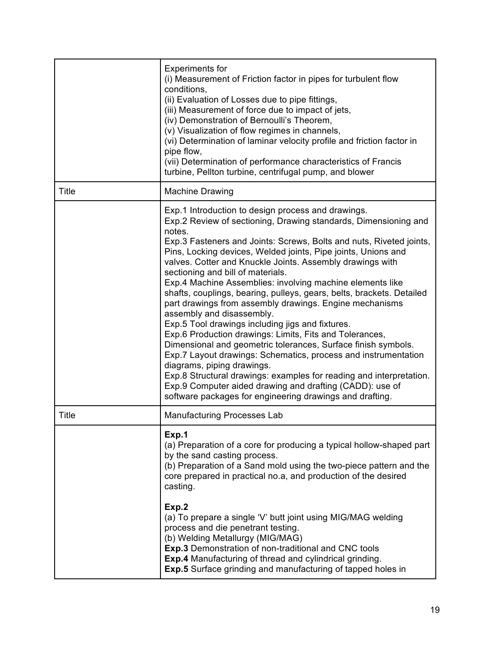|              | <b>Experiments for</b><br>(i) Measurement of Friction factor in pipes for turbulent flow<br>conditions,<br>(ii) Evaluation of Losses due to pipe fittings,<br>(iii) Measurement of force due to impact of jets,<br>(iv) Demonstration of Bernoulli's Theorem,<br>(v) Visualization of flow regimes in channels,<br>(vi) Determination of laminar velocity profile and friction factor in<br>pipe flow,<br>(vii) Determination of performance characteristics of Francis<br>turbine, Pellton turbine, centrifugal pump, and blower                                                                                                                                                                                                                                                                                                                                                                                                                                                                                                                                                      |
|--------------|----------------------------------------------------------------------------------------------------------------------------------------------------------------------------------------------------------------------------------------------------------------------------------------------------------------------------------------------------------------------------------------------------------------------------------------------------------------------------------------------------------------------------------------------------------------------------------------------------------------------------------------------------------------------------------------------------------------------------------------------------------------------------------------------------------------------------------------------------------------------------------------------------------------------------------------------------------------------------------------------------------------------------------------------------------------------------------------|
| Title        | <b>Machine Drawing</b>                                                                                                                                                                                                                                                                                                                                                                                                                                                                                                                                                                                                                                                                                                                                                                                                                                                                                                                                                                                                                                                                 |
|              | Exp.1 Introduction to design process and drawings.<br>Exp.2 Review of sectioning, Drawing standards, Dimensioning and<br>notes.<br>Exp.3 Fasteners and Joints: Screws, Bolts and nuts, Riveted joints,<br>Pins, Locking devices, Welded joints, Pipe joints, Unions and<br>valves. Cotter and Knuckle Joints. Assembly drawings with<br>sectioning and bill of materials.<br>Exp.4 Machine Assemblies: involving machine elements like<br>shafts, couplings, bearing, pulleys, gears, belts, brackets. Detailed<br>part drawings from assembly drawings. Engine mechanisms<br>assembly and disassembly.<br>Exp.5 Tool drawings including jigs and fixtures.<br>Exp.6 Production drawings: Limits, Fits and Tolerances,<br>Dimensional and geometric tolerances, Surface finish symbols.<br>Exp.7 Layout drawings: Schematics, process and instrumentation<br>diagrams, piping drawings.<br>Exp.8 Structural drawings: examples for reading and interpretation.<br>Exp.9 Computer aided drawing and drafting (CADD): use of<br>software packages for engineering drawings and drafting. |
| <b>Title</b> | <b>Manufacturing Processes Lab</b>                                                                                                                                                                                                                                                                                                                                                                                                                                                                                                                                                                                                                                                                                                                                                                                                                                                                                                                                                                                                                                                     |
|              | Exp.1<br>(a) Preparation of a core for producing a typical hollow-shaped part<br>by the sand casting process.<br>(b) Preparation of a Sand mold using the two-piece pattern and the<br>core prepared in practical no.a, and production of the desired<br>casting.<br>Exp.2<br>(a) To prepare a single 'V' butt joint using MIG/MAG welding<br>process and die penetrant testing.<br>(b) Welding Metallurgy (MIG/MAG)<br><b>Exp.3</b> Demonstration of non-traditional and CNC tools<br>Exp.4 Manufacturing of thread and cylindrical grinding.<br>Exp.5 Surface grinding and manufacturing of tapped holes in                                                                                                                                                                                                                                                                                                                                                                                                                                                                          |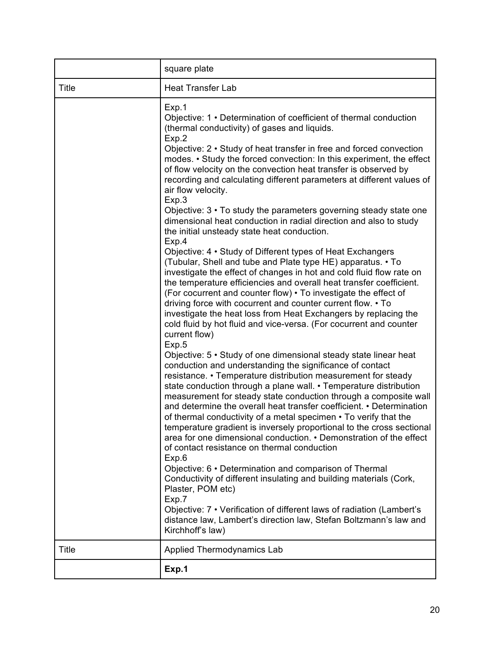|              | square plate                                                                                                                                                                                                                                                                                                                                                                                                                                                                                                                                                                                                                                                                              |
|--------------|-------------------------------------------------------------------------------------------------------------------------------------------------------------------------------------------------------------------------------------------------------------------------------------------------------------------------------------------------------------------------------------------------------------------------------------------------------------------------------------------------------------------------------------------------------------------------------------------------------------------------------------------------------------------------------------------|
| <b>Title</b> | <b>Heat Transfer Lab</b>                                                                                                                                                                                                                                                                                                                                                                                                                                                                                                                                                                                                                                                                  |
|              | Exp.1<br>Objective: 1 • Determination of coefficient of thermal conduction<br>(thermal conductivity) of gases and liquids.<br>Exp.2<br>Objective: 2 • Study of heat transfer in free and forced convection<br>modes. • Study the forced convection: In this experiment, the effect<br>of flow velocity on the convection heat transfer is observed by<br>recording and calculating different parameters at different values of<br>air flow velocity.<br>Exp.3<br>Objective: 3 • To study the parameters governing steady state one<br>dimensional heat conduction in radial direction and also to study                                                                                   |
|              | the initial unsteady state heat conduction.<br>Exp.4<br>Objective: 4 • Study of Different types of Heat Exchangers<br>(Tubular, Shell and tube and Plate type HE) apparatus. • To<br>investigate the effect of changes in hot and cold fluid flow rate on<br>the temperature efficiencies and overall heat transfer coefficient.<br>(For cocurrent and counter flow) . To investigate the effect of<br>driving force with cocurrent and counter current flow. • To<br>investigate the heat loss from Heat Exchangers by replacing the<br>cold fluid by hot fluid and vice-versa. (For cocurrent and counter<br>current flow)<br>Exp.5                                                     |
|              | Objective: 5 • Study of one dimensional steady state linear heat<br>conduction and understanding the significance of contact<br>resistance. • Temperature distribution measurement for steady<br>state conduction through a plane wall. • Temperature distribution<br>measurement for steady state conduction through a composite wall<br>and determine the overall heat transfer coefficient. • Determination<br>of thermal conductivity of a metal specimen • To verify that the<br>temperature gradient is inversely proportional to the cross sectional<br>area for one dimensional conduction. • Demonstration of the effect<br>of contact resistance on thermal conduction<br>Exp.6 |
|              | Objective: 6 • Determination and comparison of Thermal<br>Conductivity of different insulating and building materials (Cork,<br>Plaster, POM etc)<br>Exp.7<br>Objective: 7 • Verification of different laws of radiation (Lambert's<br>distance law, Lambert's direction law, Stefan Boltzmann's law and<br>Kirchhoff's law)                                                                                                                                                                                                                                                                                                                                                              |
| Title        | Applied Thermodynamics Lab                                                                                                                                                                                                                                                                                                                                                                                                                                                                                                                                                                                                                                                                |
|              | Exp.1                                                                                                                                                                                                                                                                                                                                                                                                                                                                                                                                                                                                                                                                                     |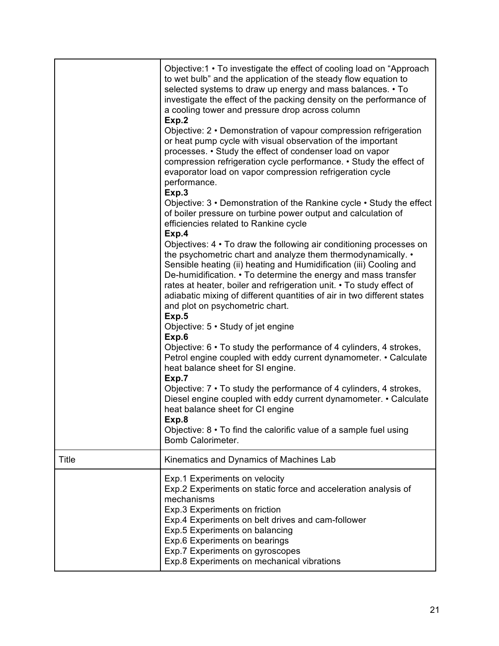|       | Objective:1 • To investigate the effect of cooling load on "Approach<br>to wet bulb" and the application of the steady flow equation to<br>selected systems to draw up energy and mass balances. • To<br>investigate the effect of the packing density on the performance of<br>a cooling tower and pressure drop across column<br>Exp.2<br>Objective: 2 • Demonstration of vapour compression refrigeration<br>or heat pump cycle with visual observation of the important<br>processes. • Study the effect of condenser load on vapor<br>compression refrigeration cycle performance. • Study the effect of<br>evaporator load on vapor compression refrigeration cycle<br>performance.<br>Exp.3<br>Objective: 3 • Demonstration of the Rankine cycle • Study the effect<br>of boiler pressure on turbine power output and calculation of<br>efficiencies related to Rankine cycle<br>Exp.4<br>Objectives: 4 • To draw the following air conditioning processes on<br>the psychometric chart and analyze them thermodynamically. •<br>Sensible heating (ii) heating and Humidification (iii) Cooling and<br>De-humidification. • To determine the energy and mass transfer<br>rates at heater, boiler and refrigeration unit. • To study effect of<br>adiabatic mixing of different quantities of air in two different states<br>and plot on psychometric chart.<br>Exp.5<br>Objective: 5 • Study of jet engine<br>Exp.6<br>Objective: 6 • To study the performance of 4 cylinders, 4 strokes,<br>Petrol engine coupled with eddy current dynamometer. • Calculate<br>heat balance sheet for SI engine.<br>Exp.7<br>Objective: 7 • To study the performance of 4 cylinders, 4 strokes,<br>Diesel engine coupled with eddy current dynamometer. • Calculate |
|-------|--------------------------------------------------------------------------------------------------------------------------------------------------------------------------------------------------------------------------------------------------------------------------------------------------------------------------------------------------------------------------------------------------------------------------------------------------------------------------------------------------------------------------------------------------------------------------------------------------------------------------------------------------------------------------------------------------------------------------------------------------------------------------------------------------------------------------------------------------------------------------------------------------------------------------------------------------------------------------------------------------------------------------------------------------------------------------------------------------------------------------------------------------------------------------------------------------------------------------------------------------------------------------------------------------------------------------------------------------------------------------------------------------------------------------------------------------------------------------------------------------------------------------------------------------------------------------------------------------------------------------------------------------------------------------------------------------------------------------------------------------------------|
|       | heat balance sheet for CI engine<br>Exp.8<br>Objective: $8 \cdot$ To find the calorific value of a sample fuel using<br><b>Bomb Calorimeter.</b>                                                                                                                                                                                                                                                                                                                                                                                                                                                                                                                                                                                                                                                                                                                                                                                                                                                                                                                                                                                                                                                                                                                                                                                                                                                                                                                                                                                                                                                                                                                                                                                                             |
| Title | Kinematics and Dynamics of Machines Lab                                                                                                                                                                                                                                                                                                                                                                                                                                                                                                                                                                                                                                                                                                                                                                                                                                                                                                                                                                                                                                                                                                                                                                                                                                                                                                                                                                                                                                                                                                                                                                                                                                                                                                                      |
|       | Exp.1 Experiments on velocity<br>Exp.2 Experiments on static force and acceleration analysis of<br>mechanisms<br>Exp.3 Experiments on friction<br>Exp.4 Experiments on belt drives and cam-follower<br>Exp.5 Experiments on balancing<br>Exp.6 Experiments on bearings<br>Exp.7 Experiments on gyroscopes<br>Exp.8 Experiments on mechanical vibrations                                                                                                                                                                                                                                                                                                                                                                                                                                                                                                                                                                                                                                                                                                                                                                                                                                                                                                                                                                                                                                                                                                                                                                                                                                                                                                                                                                                                      |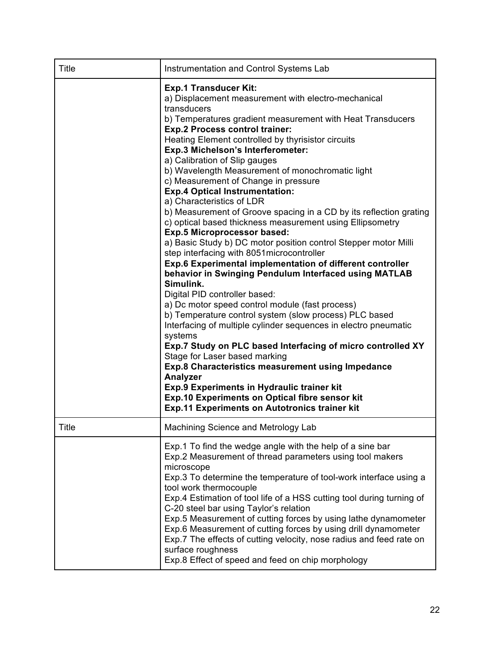| <b>Title</b> | Instrumentation and Control Systems Lab                                                                                                                                                                                                                                                                                                                                                                                                                                                                                                                                                                                                                                                                                                                                                                                                                                                                                                                                                                                                                                                                                                                                                                                                                                                                                                                                                                                                                                                          |
|--------------|--------------------------------------------------------------------------------------------------------------------------------------------------------------------------------------------------------------------------------------------------------------------------------------------------------------------------------------------------------------------------------------------------------------------------------------------------------------------------------------------------------------------------------------------------------------------------------------------------------------------------------------------------------------------------------------------------------------------------------------------------------------------------------------------------------------------------------------------------------------------------------------------------------------------------------------------------------------------------------------------------------------------------------------------------------------------------------------------------------------------------------------------------------------------------------------------------------------------------------------------------------------------------------------------------------------------------------------------------------------------------------------------------------------------------------------------------------------------------------------------------|
|              | <b>Exp.1 Transducer Kit:</b><br>a) Displacement measurement with electro-mechanical<br>transducers<br>b) Temperatures gradient measurement with Heat Transducers<br><b>Exp.2 Process control trainer:</b><br>Heating Element controlled by thyrisistor circuits<br>Exp.3 Michelson's Interferometer:<br>a) Calibration of Slip gauges<br>b) Wavelength Measurement of monochromatic light<br>c) Measurement of Change in pressure<br><b>Exp.4 Optical Instrumentation:</b><br>a) Characteristics of LDR<br>b) Measurement of Groove spacing in a CD by its reflection grating<br>c) optical based thickness measurement using Ellipsometry<br><b>Exp.5 Microprocessor based:</b><br>a) Basic Study b) DC motor position control Stepper motor Milli<br>step interfacing with 8051 microcontroller<br>Exp.6 Experimental implementation of different controller<br>behavior in Swinging Pendulum Interfaced using MATLAB<br>Simulink.<br>Digital PID controller based:<br>a) Dc motor speed control module (fast process)<br>b) Temperature control system (slow process) PLC based<br>Interfacing of multiple cylinder sequences in electro pneumatic<br>systems<br>Exp.7 Study on PLC based Interfacing of micro controlled XY<br>Stage for Laser based marking<br><b>Exp.8 Characteristics measurement using Impedance</b><br>Analyzer<br>Exp.9 Experiments in Hydraulic trainer kit<br>Exp.10 Experiments on Optical fibre sensor kit<br><b>Exp.11 Experiments on Autotronics trainer kit</b> |
| <b>Title</b> | Machining Science and Metrology Lab                                                                                                                                                                                                                                                                                                                                                                                                                                                                                                                                                                                                                                                                                                                                                                                                                                                                                                                                                                                                                                                                                                                                                                                                                                                                                                                                                                                                                                                              |
|              | Exp.1 To find the wedge angle with the help of a sine bar<br>Exp.2 Measurement of thread parameters using tool makers<br>microscope<br>Exp.3 To determine the temperature of tool-work interface using a<br>tool work thermocouple<br>Exp.4 Estimation of tool life of a HSS cutting tool during turning of<br>C-20 steel bar using Taylor's relation<br>Exp.5 Measurement of cutting forces by using lathe dynamometer<br>Exp.6 Measurement of cutting forces by using drill dynamometer<br>Exp.7 The effects of cutting velocity, nose radius and feed rate on<br>surface roughness<br>Exp.8 Effect of speed and feed on chip morphology                                                                                                                                                                                                                                                                                                                                                                                                                                                                                                                                                                                                                                                                                                                                                                                                                                                       |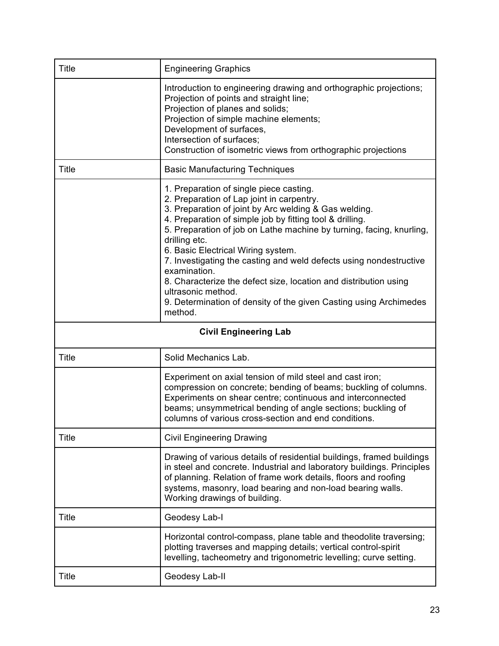| <b>Title</b>                 | <b>Engineering Graphics</b>                                                                                                                                                                                                                                                                                                                                                                                                                                                                                                                                                                              |  |
|------------------------------|----------------------------------------------------------------------------------------------------------------------------------------------------------------------------------------------------------------------------------------------------------------------------------------------------------------------------------------------------------------------------------------------------------------------------------------------------------------------------------------------------------------------------------------------------------------------------------------------------------|--|
|                              | Introduction to engineering drawing and orthographic projections;<br>Projection of points and straight line;<br>Projection of planes and solids;<br>Projection of simple machine elements;<br>Development of surfaces,<br>Intersection of surfaces;<br>Construction of isometric views from orthographic projections                                                                                                                                                                                                                                                                                     |  |
| <b>Title</b>                 | <b>Basic Manufacturing Techniques</b>                                                                                                                                                                                                                                                                                                                                                                                                                                                                                                                                                                    |  |
|                              | 1. Preparation of single piece casting.<br>2. Preparation of Lap joint in carpentry.<br>3. Preparation of joint by Arc welding & Gas welding.<br>4. Preparation of simple job by fitting tool & drilling.<br>5. Preparation of job on Lathe machine by turning, facing, knurling,<br>drilling etc.<br>6. Basic Electrical Wiring system.<br>7. Investigating the casting and weld defects using nondestructive<br>examination.<br>8. Characterize the defect size, location and distribution using<br>ultrasonic method.<br>9. Determination of density of the given Casting using Archimedes<br>method. |  |
| <b>Civil Engineering Lab</b> |                                                                                                                                                                                                                                                                                                                                                                                                                                                                                                                                                                                                          |  |
|                              |                                                                                                                                                                                                                                                                                                                                                                                                                                                                                                                                                                                                          |  |
| <b>Title</b>                 | Solid Mechanics Lab.                                                                                                                                                                                                                                                                                                                                                                                                                                                                                                                                                                                     |  |
|                              | Experiment on axial tension of mild steel and cast iron;<br>compression on concrete; bending of beams; buckling of columns.<br>Experiments on shear centre; continuous and interconnected<br>beams; unsymmetrical bending of angle sections; buckling of<br>columns of various cross-section and end conditions.                                                                                                                                                                                                                                                                                         |  |
| Title                        | <b>Civil Engineering Drawing</b>                                                                                                                                                                                                                                                                                                                                                                                                                                                                                                                                                                         |  |
|                              | Drawing of various details of residential buildings, framed buildings<br>in steel and concrete. Industrial and laboratory buildings. Principles<br>of planning. Relation of frame work details, floors and roofing<br>systems, masonry, load bearing and non-load bearing walls.<br>Working drawings of building.                                                                                                                                                                                                                                                                                        |  |
| Title                        | Geodesy Lab-I                                                                                                                                                                                                                                                                                                                                                                                                                                                                                                                                                                                            |  |
|                              | Horizontal control-compass, plane table and theodolite traversing;<br>plotting traverses and mapping details; vertical control-spirit<br>levelling, tacheometry and trigonometric levelling; curve setting.                                                                                                                                                                                                                                                                                                                                                                                              |  |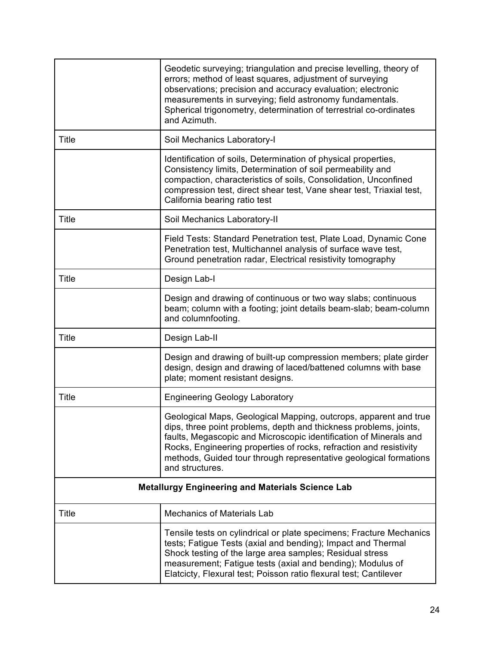|                                                         | Geodetic surveying; triangulation and precise levelling, theory of<br>errors; method of least squares, adjustment of surveying<br>observations; precision and accuracy evaluation; electronic<br>measurements in surveying; field astronomy fundamentals.<br>Spherical trigonometry, determination of terrestrial co-ordinates<br>and Azimuth.                           |
|---------------------------------------------------------|--------------------------------------------------------------------------------------------------------------------------------------------------------------------------------------------------------------------------------------------------------------------------------------------------------------------------------------------------------------------------|
| Title                                                   | Soil Mechanics Laboratory-I                                                                                                                                                                                                                                                                                                                                              |
|                                                         | Identification of soils, Determination of physical properties,<br>Consistency limits, Determination of soil permeability and<br>compaction, characteristics of soils, Consolidation, Unconfined<br>compression test, direct shear test, Vane shear test, Triaxial test,<br>California bearing ratio test                                                                 |
| <b>Title</b>                                            | Soil Mechanics Laboratory-II                                                                                                                                                                                                                                                                                                                                             |
|                                                         | Field Tests: Standard Penetration test, Plate Load, Dynamic Cone<br>Penetration test, Multichannel analysis of surface wave test,<br>Ground penetration radar, Electrical resistivity tomography                                                                                                                                                                         |
| <b>Title</b>                                            | Design Lab-I                                                                                                                                                                                                                                                                                                                                                             |
|                                                         | Design and drawing of continuous or two way slabs; continuous<br>beam; column with a footing; joint details beam-slab; beam-column<br>and columnfooting.                                                                                                                                                                                                                 |
| <b>Title</b>                                            | Design Lab-II                                                                                                                                                                                                                                                                                                                                                            |
|                                                         | Design and drawing of built-up compression members; plate girder<br>design, design and drawing of laced/battened columns with base<br>plate; moment resistant designs.                                                                                                                                                                                                   |
| <b>Title</b>                                            | <b>Engineering Geology Laboratory</b>                                                                                                                                                                                                                                                                                                                                    |
|                                                         | Geological Maps, Geological Mapping, outcrops, apparent and true<br>dips, three point problems, depth and thickness problems, joints,<br>faults, Megascopic and Microscopic identification of Minerals and<br>Rocks, Engineering properties of rocks, refraction and resistivity<br>methods, Guided tour through representative geological formations<br>and structures. |
| <b>Metallurgy Engineering and Materials Science Lab</b> |                                                                                                                                                                                                                                                                                                                                                                          |
| <b>Title</b>                                            | <b>Mechanics of Materials Lab</b>                                                                                                                                                                                                                                                                                                                                        |
|                                                         | Tensile tests on cylindrical or plate specimens; Fracture Mechanics<br>tests; Fatigue Tests (axial and bending); Impact and Thermal<br>Shock testing of the large area samples; Residual stress<br>measurement; Fatigue tests (axial and bending); Modulus of<br>Elatcicty, Flexural test; Poisson ratio flexural test; Cantilever                                       |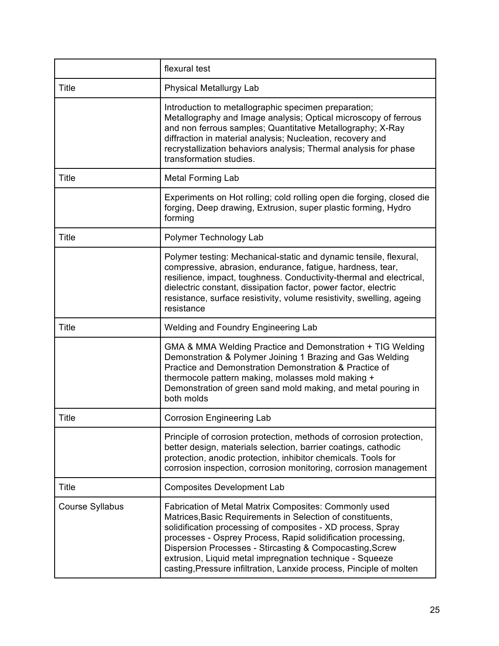|                        | flexural test                                                                                                                                                                                                                                                                                                                                                                                                                                     |
|------------------------|---------------------------------------------------------------------------------------------------------------------------------------------------------------------------------------------------------------------------------------------------------------------------------------------------------------------------------------------------------------------------------------------------------------------------------------------------|
| <b>Title</b>           | <b>Physical Metallurgy Lab</b>                                                                                                                                                                                                                                                                                                                                                                                                                    |
|                        | Introduction to metallographic specimen preparation;<br>Metallography and Image analysis; Optical microscopy of ferrous<br>and non ferrous samples; Quantitative Metallography; X-Ray<br>diffraction in material analysis; Nucleation, recovery and<br>recrystallization behaviors analysis; Thermal analysis for phase<br>transformation studies.                                                                                                |
| <b>Title</b>           | <b>Metal Forming Lab</b>                                                                                                                                                                                                                                                                                                                                                                                                                          |
|                        | Experiments on Hot rolling; cold rolling open die forging, closed die<br>forging, Deep drawing, Extrusion, super plastic forming, Hydro<br>forming                                                                                                                                                                                                                                                                                                |
| <b>Title</b>           | Polymer Technology Lab                                                                                                                                                                                                                                                                                                                                                                                                                            |
|                        | Polymer testing: Mechanical-static and dynamic tensile, flexural,<br>compressive, abrasion, endurance, fatigue, hardness, tear,<br>resilience, impact, toughness. Conductivity-thermal and electrical,<br>dielectric constant, dissipation factor, power factor, electric<br>resistance, surface resistivity, volume resistivity, swelling, ageing<br>resistance                                                                                  |
| <b>Title</b>           | <b>Welding and Foundry Engineering Lab</b>                                                                                                                                                                                                                                                                                                                                                                                                        |
|                        | GMA & MMA Welding Practice and Demonstration + TIG Welding<br>Demonstration & Polymer Joining 1 Brazing and Gas Welding<br>Practice and Demonstration Demonstration & Practice of<br>thermocole pattern making, molasses mold making +<br>Demonstration of green sand mold making, and metal pouring in<br>both molds                                                                                                                             |
| <b>Title</b>           | <b>Corrosion Engineering Lab</b>                                                                                                                                                                                                                                                                                                                                                                                                                  |
|                        | Principle of corrosion protection, methods of corrosion protection,<br>better design, materials selection, barrier coatings, cathodic<br>protection, anodic protection, inhibitor chemicals. Tools for<br>corrosion inspection, corrosion monitoring, corrosion management                                                                                                                                                                        |
| <b>Title</b>           | <b>Composites Development Lab</b>                                                                                                                                                                                                                                                                                                                                                                                                                 |
| <b>Course Syllabus</b> | Fabrication of Metal Matrix Composites: Commonly used<br>Matrices, Basic Requirements in Selection of constituents,<br>solidification processing of composites - XD process, Spray<br>processes - Osprey Process, Rapid solidification processing,<br>Dispersion Processes - Stircasting & Compocasting, Screw<br>extrusion, Liquid metal impregnation technique - Squeeze<br>casting, Pressure infiltration, Lanxide process, Pinciple of molten |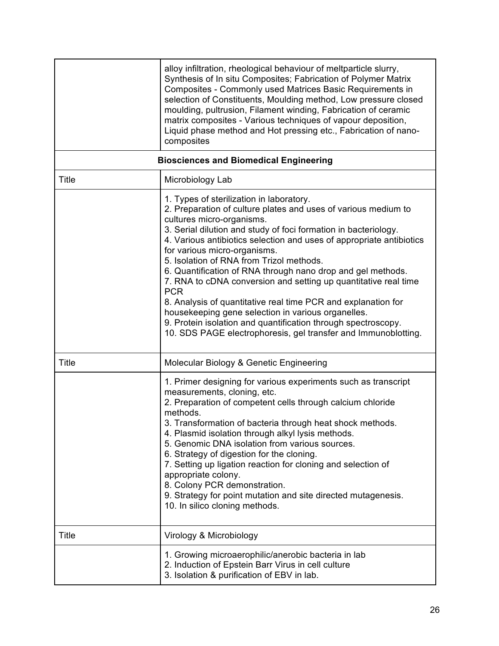|                                               | alloy infiltration, rheological behaviour of meltparticle slurry,<br>Synthesis of In situ Composites; Fabrication of Polymer Matrix<br>Composites - Commonly used Matrices Basic Requirements in<br>selection of Constituents, Moulding method, Low pressure closed<br>moulding, pultrusion, Filament winding, Fabrication of ceramic<br>matrix composites - Various techniques of vapour deposition,<br>Liquid phase method and Hot pressing etc., Fabrication of nano-<br>composites                                                                                                                                                                                                                                                                                   |
|-----------------------------------------------|--------------------------------------------------------------------------------------------------------------------------------------------------------------------------------------------------------------------------------------------------------------------------------------------------------------------------------------------------------------------------------------------------------------------------------------------------------------------------------------------------------------------------------------------------------------------------------------------------------------------------------------------------------------------------------------------------------------------------------------------------------------------------|
| <b>Biosciences and Biomedical Engineering</b> |                                                                                                                                                                                                                                                                                                                                                                                                                                                                                                                                                                                                                                                                                                                                                                          |
| <b>Title</b>                                  | Microbiology Lab                                                                                                                                                                                                                                                                                                                                                                                                                                                                                                                                                                                                                                                                                                                                                         |
|                                               | 1. Types of sterilization in laboratory.<br>2. Preparation of culture plates and uses of various medium to<br>cultures micro-organisms.<br>3. Serial dilution and study of foci formation in bacteriology.<br>4. Various antibiotics selection and uses of appropriate antibiotics<br>for various micro-organisms.<br>5. Isolation of RNA from Trizol methods.<br>6. Quantification of RNA through nano drop and gel methods.<br>7. RNA to cDNA conversion and setting up quantitative real time<br><b>PCR</b><br>8. Analysis of quantitative real time PCR and explanation for<br>housekeeping gene selection in various organelles.<br>9. Protein isolation and quantification through spectroscopy.<br>10. SDS PAGE electrophoresis, gel transfer and Immunoblotting. |
| <b>Title</b>                                  | Molecular Biology & Genetic Engineering                                                                                                                                                                                                                                                                                                                                                                                                                                                                                                                                                                                                                                                                                                                                  |
|                                               | 1. Primer designing for various experiments such as transcript<br>measurements, cloning, etc.<br>2. Preparation of competent cells through calcium chloride<br>methods.<br>3. Transformation of bacteria through heat shock methods<br>4. Plasmid isolation through alkyl lysis methods.<br>5. Genomic DNA isolation from various sources.<br>6. Strategy of digestion for the cloning.<br>7. Setting up ligation reaction for cloning and selection of<br>appropriate colony.<br>8. Colony PCR demonstration.<br>9. Strategy for point mutation and site directed mutagenesis.<br>10. In silico cloning methods.                                                                                                                                                        |
| Title                                         | Virology & Microbiology                                                                                                                                                                                                                                                                                                                                                                                                                                                                                                                                                                                                                                                                                                                                                  |
|                                               | 1. Growing microaerophilic/anerobic bacteria in lab<br>2. Induction of Epstein Barr Virus in cell culture<br>3. Isolation & purification of EBV in lab.                                                                                                                                                                                                                                                                                                                                                                                                                                                                                                                                                                                                                  |